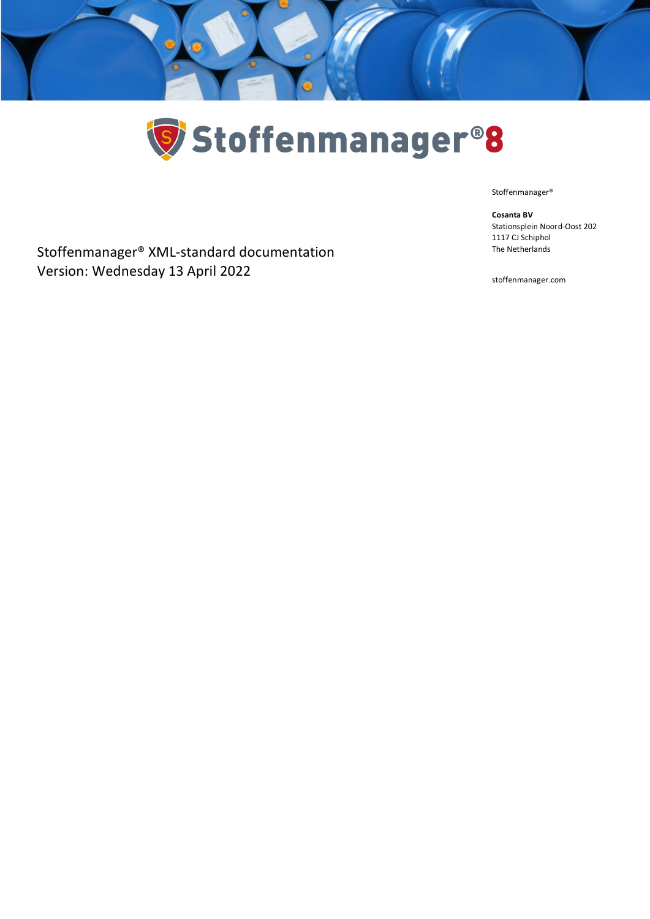



Stoffenmanager®

1117 CJ Schiphol The Netherlands

**Cosanta BV**

Stoffenmanager® XML-standard documentation Version: Wednesday 13 April 2022

stoffenmanager.com

Stationsplein Noord-Oost 202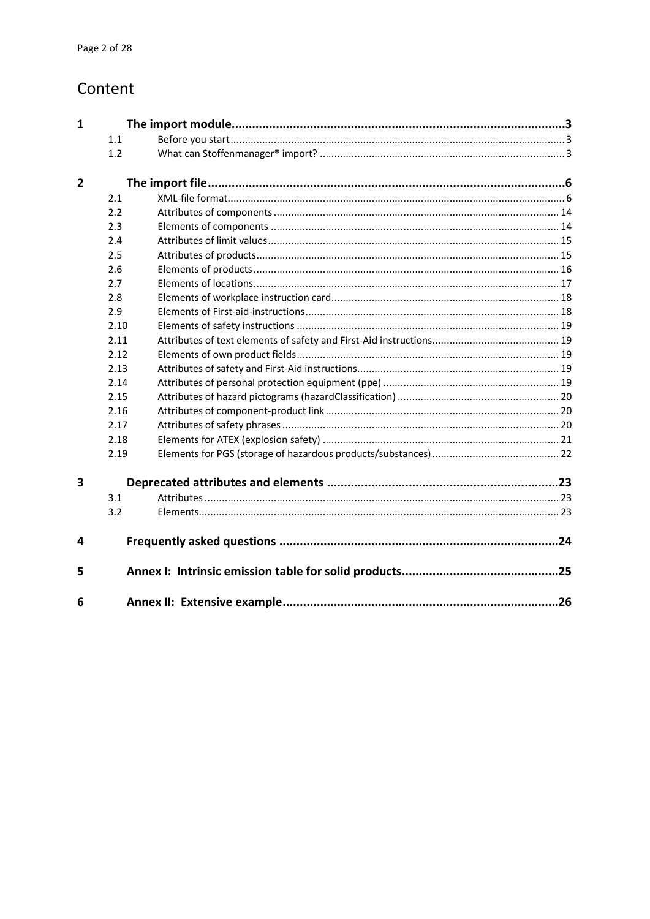## Content

| 1              |      |     |
|----------------|------|-----|
|                | 1.1  |     |
|                | 1.2  |     |
| $\overline{2}$ |      |     |
|                | 2.1  |     |
|                | 2.2  |     |
|                | 2.3  |     |
|                | 2.4  |     |
|                | 2.5  |     |
|                | 2.6  |     |
|                | 2.7  |     |
|                | 2.8  |     |
|                | 2.9  |     |
|                | 2.10 |     |
|                | 2.11 |     |
|                | 2.12 |     |
|                | 2.13 |     |
|                | 2.14 |     |
|                | 2.15 |     |
|                | 2.16 |     |
|                | 2.17 |     |
|                | 2.18 |     |
|                | 2.19 |     |
| 3              |      |     |
|                | 3.1  |     |
|                | 3.2  |     |
| 4              |      | .24 |
| 5              |      |     |
| 6              |      |     |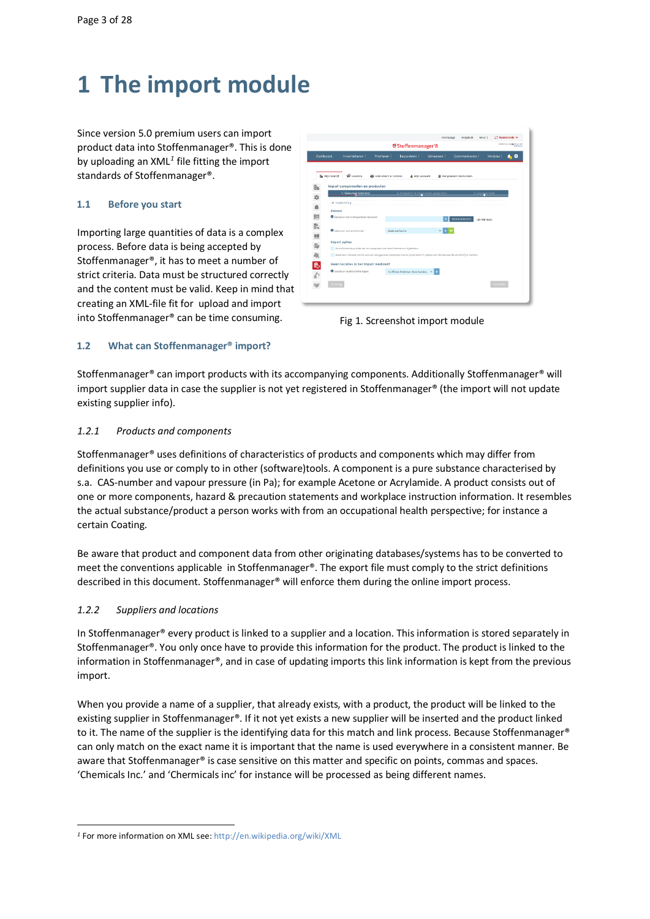# <span id="page-2-0"></span>**1 The import module**

Since version 5.0 premium users can import product data into Stoffenmanager®. This is done by uploading an XML*[1](#page-2-3)* file fitting the import standards of Stoffenmanager®.

## <span id="page-2-1"></span>**1.1 Before you start**

Importing large quantities of data is a complex process. Before data is being accepted by Stoffenmanager®, it has to meet a number of strict criteria. Data must be structured correctly and the content must be valid. Keep in mind that creating an XML-file fit for upload and import into Stoffenmanager® can be time consuming.

| matches waith up can<br><b>ØStoffenmanager<sup>®</sup>8</b><br>Uthanne |                                                                                                                                                                                         |                                |                                     |             |                      |                  |  |
|------------------------------------------------------------------------|-----------------------------------------------------------------------------------------------------------------------------------------------------------------------------------------|--------------------------------|-------------------------------------|-------------|----------------------|------------------|--|
| Doshboard                                                              | Inventoriseren :                                                                                                                                                                        | Prioriteren :                  | Becordelen !                        | Beheersen : | Communiceren !       | Modules 5<br>o   |  |
| <b>Be Mijn bedrijf</b>                                                 | <b>Q</b> Locaties                                                                                                                                                                       | <b>AS</b> Gebruikers & rechten | & Miln account                      |             | Aangeboden bestanden |                  |  |
|                                                                        | Import componenten en producten                                                                                                                                                         |                                |                                     |             |                      |                  |  |
| ■ な ● 旧                                                                | 1. Selectegr bestand                                                                                                                                                                    |                                | 2. Overzicht te importeren gegevens |             |                      | 3. Log resultaat |  |
|                                                                        | A toolichting                                                                                                                                                                           |                                |                                     |             |                      |                  |  |
|                                                                        | Upload                                                                                                                                                                                  |                                |                                     |             |                      |                  |  |
|                                                                        | <b>O</b> Selecteer het te Importeren bestand:                                                                                                                                           |                                |                                     |             | <b>Bestand Kezen</b> | (40 MB max)      |  |
|                                                                        | <b>O</b> Selectear een productive:                                                                                                                                                      | Maghinery Earlyn               |                                     |             |                      |                  |  |
|                                                                        |                                                                                                                                                                                         |                                |                                     |             |                      |                  |  |
|                                                                        | Import opties                                                                                                                                                                           |                                |                                     |             |                      |                  |  |
|                                                                        | Gearchiveerde producten en componenten dearchiveren en bijwerken.<br>Maak een nieuwe versie aan van aangepaste componenten en producten in plaats van de bestaande versie bij te werken |                                |                                     |             |                      |                  |  |
|                                                                        |                                                                                                                                                                                         |                                |                                     |             |                      |                  |  |
|                                                                        | Geen locaties in het import bestand?                                                                                                                                                    |                                |                                     |             |                      |                  |  |
| 2. 小小小 多少的                                                             | O Selecteer locaties/afdelingen:                                                                                                                                                        |                                | 6: Africa: America: Asia: Austra    |             |                      |                  |  |
|                                                                        | Gallerig                                                                                                                                                                                |                                |                                     |             |                      | <b>Gaverdo</b>   |  |

Fig 1. Screenshot import module

## <span id="page-2-2"></span>**1.2 What can Stoffenmanager® import?**

Stoffenmanager® can import products with its accompanying components. Additionally Stoffenmanager® will import supplier data in case the supplier is not yet registered in Stoffenmanager® (the import will not update existing supplier info).

## *1.2.1 Products and components*

Stoffenmanager® uses definitions of characteristics of products and components which may differ from definitions you use or comply to in other (software)tools. A component is a pure substance characterised by s.a. CAS-number and vapour pressure (in Pa); for example Acetone or Acrylamide. A product consists out of one or more components, hazard & precaution statements and workplace instruction information. It resembles the actual substance/product a person works with from an occupational health perspective; for instance a certain Coating.

Be aware that product and component data from other originating databases/systems has to be converted to meet the conventions applicable in Stoffenmanager®. The export file must comply to the strict definitions described in this document. Stoffenmanager® will enforce them during the online import process.

## *1.2.2 Suppliers and locations*

In Stoffenmanager® every product is linked to a supplier and a location. This information is stored separately in Stoffenmanager®. You only once have to provide this information for the product. The product is linked to the information in Stoffenmanager®, and in case of updating imports this link information is kept from the previous import.

When you provide a name of a supplier, that already exists, with a product, the product will be linked to the existing supplier in Stoffenmanager®. If it not yet exists a new supplier will be inserted and the product linked to it. The name of the supplier is the identifying data for this match and link process. Because Stoffenmanager® can only match on the exact name it is important that the name is used everywhere in a consistent manner. Be aware that Stoffenmanager® is case sensitive on this matter and specific on points, commas and spaces. 'Chemicals Inc.' and 'Chermicals inc' for instance will be processed as being different names.

<span id="page-2-3"></span>*<sup>1</sup>* For more information on XML see[: http://en.wikipedia.org/wiki/XML](http://en.wikipedia.org/wiki/XML)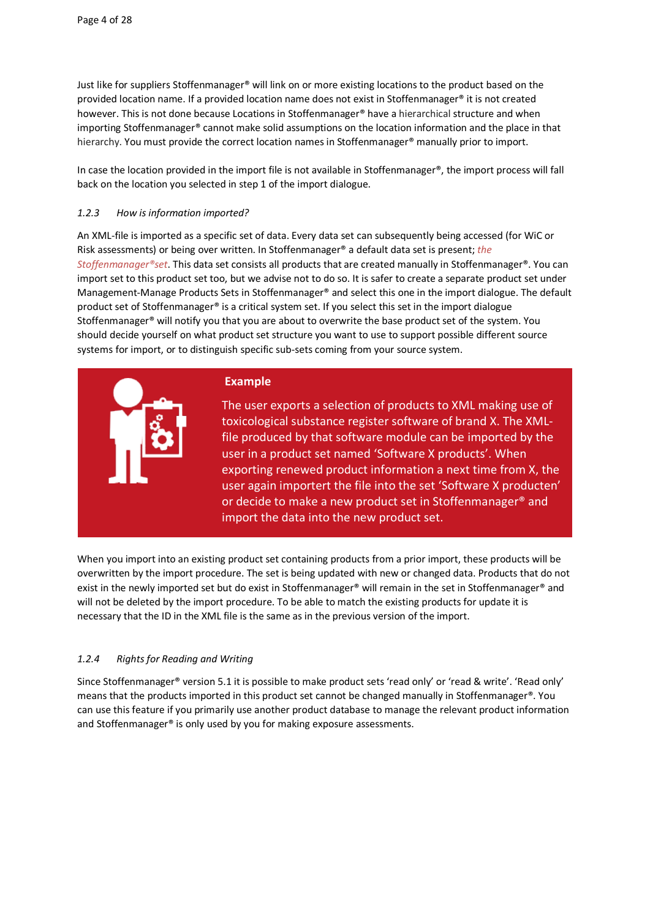Just like for suppliers Stoffenmanager® will link on or more existing locations to the product based on the provided location name. If a provided location name does not exist in Stoffenmanager® it is not created however. This is not done because Locations in Stoffenmanager® have a hierarchical structure and when importing Stoffenmanager® cannot make solid assumptions on the location information and the place in that hierarchy. You must provide the correct location names in Stoffenmanager® manually prior to import.

In case the location provided in the import file is not available in Stoffenmanager®, the import process will fall back on the location you selected in step 1 of the import dialogue.

## *1.2.3 How is information imported?*

An XML-file is imported as a specific set of data. Every data set can subsequently being accessed (for WiC or Risk assessments) or being over written. In Stoffenmanager® a default data set is present; *the Stoffenmanager®set*. This data set consists all products that are created manually in Stoffenmanager®. You can import set to this product set too, but we advise not to do so. It is safer to create a separate product set under Management-Manage Products Sets in Stoffenmanager® and select this one in the import dialogue. The default product set of Stoffenmanager® is a critical system set. If you select this set in the import dialogue Stoffenmanager® will notify you that you are about to overwrite the base product set of the system. You should decide yourself on what product set structure you want to use to support possible different source systems for import, or to distinguish specific sub-sets coming from your source system.



When you import into an existing product set containing products from a prior import, these products will be overwritten by the import procedure. The set is being updated with new or changed data. Products that do not exist in the newly imported set but do exist in Stoffenmanager® will remain in the set in Stoffenmanager® and will not be deleted by the import procedure. To be able to match the existing products for update it is necessary that the ID in the XML file is the same as in the previous version of the import.

## *1.2.4 Rights for Reading and Writing*

Since Stoffenmanager® version 5.1 it is possible to make product sets 'read only' or 'read & write'. 'Read only' means that the products imported in this product set cannot be changed manually in Stoffenmanager®. You can use this feature if you primarily use another product database to manage the relevant product information and Stoffenmanager<sup>®</sup> is only used by you for making exposure assessments.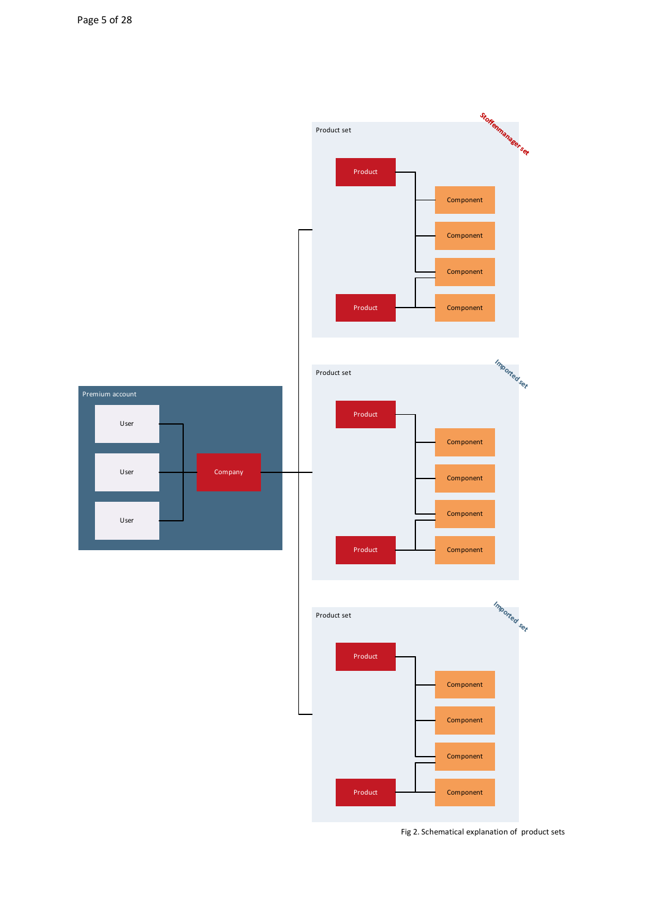

Fig 2. Schematical explanation of product sets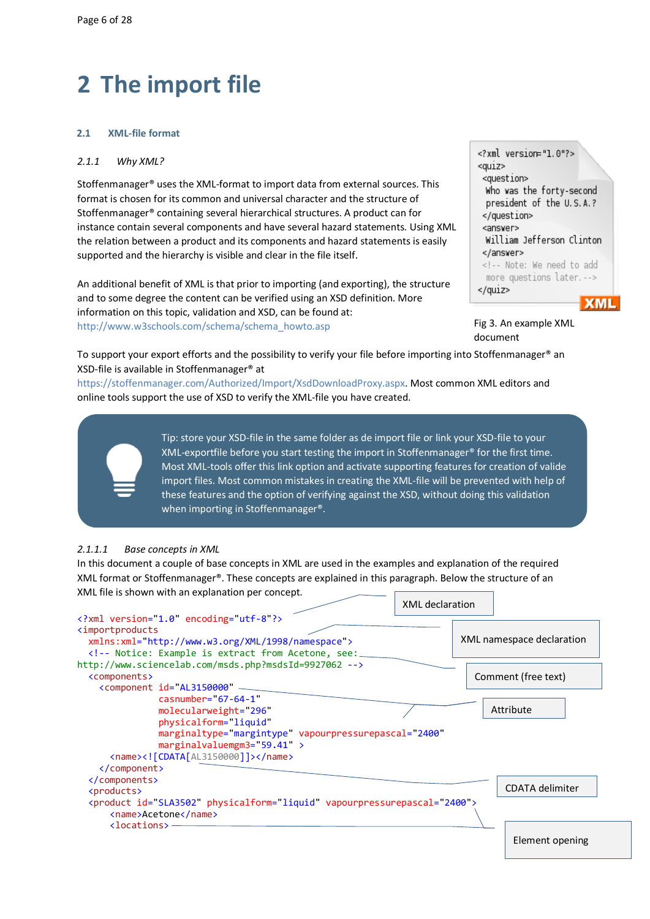# <span id="page-5-0"></span>**2 The import file**

## <span id="page-5-1"></span>**2.1 XML-file format**

### *2.1.1 Why XML?*

Stoffenmanager® uses the XML-format to import data from external sources. This format is chosen for its common and universal character and the structure of Stoffenmanager® containing several hierarchical structures. A product can for instance contain several components and have several hazard statements. Using XML the relation between a product and its components and hazard statements is easily supported and the hierarchy is visible and clear in the file itself.

An additional benefit of XML is that prior to importing (and exporting), the structure and to some degree the content can be verified using an XSD definition. More information on this topic, validation and XSD, can be found at: [http://www.w3schools.com/schema/schema\\_howto.asp](http://www.w3schools.com/schema/schema_howto.asp)

| xml version="1.0"?<br><qu1z><br/><question></question></qu1z> |
|---------------------------------------------------------------|
| Who was the forty-second                                      |
| president of the U.S.A.?                                      |
|                                                               |
| <answer></answer>                                             |
|                                                               |
| William Jefferson Clinton                                     |
|                                                               |
| Note: We need to add</td></tr><tr><td>more questions later.   |
|                                                               |
|                                                               |
|                                                               |

Fig 3. An example XML document

To support your export efforts and the possibility to verify your file before importing into Stoffenmanager® an XSD-file is available in Stoffenmanager® at

[https://stoffenmanager.com/Authorized/Import/XsdDownloadProxy.aspx.](https://www.stoffenmanager.nl/Authorized/Import/XsdDownloadProxy.aspx) Most common XML editors and online tools support the use of XSD to verify the XML-file you have created.



Tip: store your XSD-file in the same folder as de import file or link your XSD-file to your XML-exportfile before you start testing the import in Stoffenmanager® for the first time. Most XML-tools offer this link option and activate supporting features for creation of valide import files. Most common mistakes in creating the XML-file will be prevented with help of these features and the option of verifying against the XSD, without doing this validation when importing in Stoffenmanager®.

## *2.1.1.1 Base concepts in XML*

In this document a couple of base concepts in XML are used in the examples and explanation of the required XML format or Stoffenmanager®. These concepts are explained in this paragraph. Below the structure of an XML file is shown with an explanation per concept. XML declaration

|                                                                                                                                    | AIVIL UCLIGIQUUI |                           |
|------------------------------------------------------------------------------------------------------------------------------------|------------------|---------------------------|
| xml version="1.0" encoding="utf-8"?                                                                                                |                  |                           |
| <importproducts< td=""><td></td><td></td></importproducts<>                                                                        |                  |                           |
| xmlns:xml= http://www.w3.org/XML/1998/namespace">                                                                                  |                  | XML namespace declaration |
| Notice: Example is extract from Acetone, see:</td><td></td><td></td></tr><tr><td>http://www.sciencelab.com/msds.php?msdsId=9927062 |                  |                           |
| <components></components>                                                                                                          |                  | Comment (free text)       |
| <component id="AL3150000&lt;/td"><td></td><td></td></component>                                                                    |                  |                           |
| $casnumber = 67-64-1$                                                                                                              |                  |                           |
| molecularweight="296"                                                                                                              |                  | Attribute                 |
| physicalform="liquid"                                                                                                              |                  |                           |
| marginaltype="margintype" vapourpressurepascal="2400"                                                                              |                  |                           |
| marginalvaluemgm3=" $59.41$ " >                                                                                                    |                  |                           |
| $\langle$ name> $\langle$ ! [CDATA [AL3150000]]> $\langle$ /name>                                                                  |                  |                           |
|                                                                                                                                    |                  |                           |
|                                                                                                                                    |                  |                           |
| <products></products>                                                                                                              |                  | <b>CDATA</b> delimiter    |
| <product id="SLA3502" physicalform="liquid" vapourpressurepascal="2400"></product>                                                 |                  |                           |
| <name>Acetone</name>                                                                                                               |                  |                           |
| $\langle$ locations> -                                                                                                             |                  |                           |
|                                                                                                                                    |                  | Element opening           |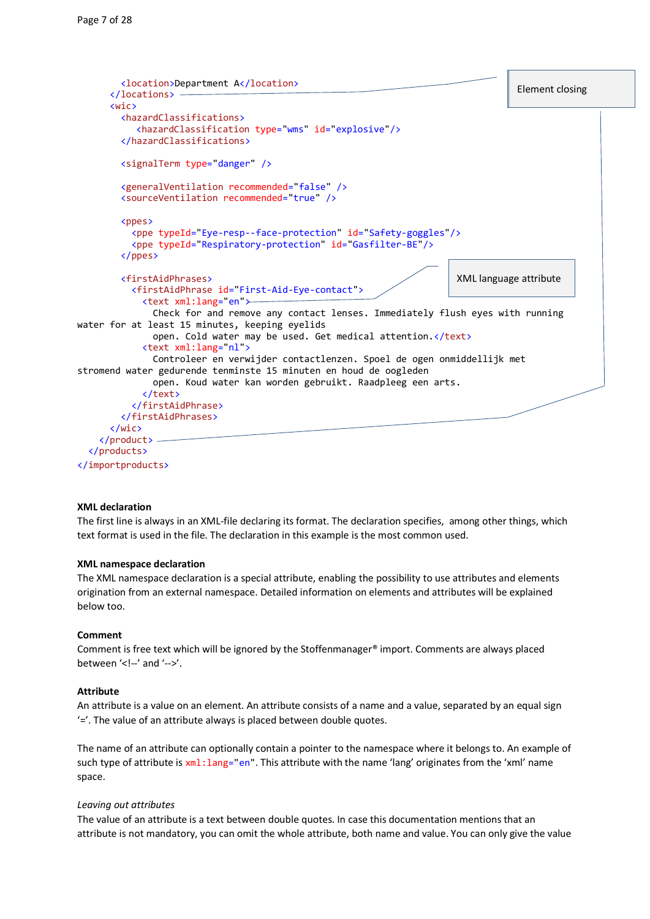```
 <location>Department A</location>
       </locations>
       <wic>
         <hazardClassifications>
             <hazardClassification type="wms" id="explosive"/>
         </hazardClassifications>
         <signalTerm type="danger" />
         <generalVentilation recommended="false" />
         <sourceVentilation recommended="true" />
        <ppes>
            <ppe typeId="Eye-resp--face-protection" id="Safety-goggles"/>
            <ppe typeId="Respiratory-protection" id="Gasfilter-BE"/>
         </ppes>
         <firstAidPhrases>
            <firstAidPhrase id="First-Aid-Eye-contact">
              <text xml:lang="en">
                Check for and remove any contact lenses. Immediately flush eyes with running 
water for at least 15 minutes, keeping eyelids
               open. Cold water may be used. Get medical attention.</text>
              <text xml:lang="nl">
                Controleer en verwijder contactlenzen. Spoel de ogen onmiddellijk met 
stromend water gedurende tenminste 15 minuten en houd de oogleden
                open. Koud water kan worden gebruikt. Raadpleeg een arts.
              </text>
            </firstAidPhrase>
         </firstAidPhrases>
       </wic>
    \epsilon/nroduct>
   </products>
                                                                           XML language attribute
                                                                                       Element closing Element closing
```
</importproducts>

## **XML declaration**

The first line is always in an XML-file declaring its format. The declaration specifies, among other things, which text format is used in the file. The declaration in this example is the most common used.

### **XML namespace declaration**

The XML namespace declaration is a special attribute, enabling the possibility to use attributes and elements origination from an external namespace. Detailed information on elements and attributes will be explained below too.

#### **Comment**

Comment is free text which will be ignored by the Stoffenmanager® import. Comments are always placed between '<!--' and '-->'.

#### **Attribute**

An attribute is a value on an element. An attribute consists of a name and a value, separated by an equal sign '='. The value of an attribute always is placed between double quotes.

The name of an attribute can optionally contain a pointer to the namespace where it belongs to. An example of such type of attribute is  $xml:1ane="en".$  This attribute with the name 'lang' originates from the 'xml' name space.

#### *Leaving out attributes*

The value of an attribute is a text between double quotes. In case this documentation mentions that an attribute is not mandatory, you can omit the whole attribute, both name and value. You can only give the value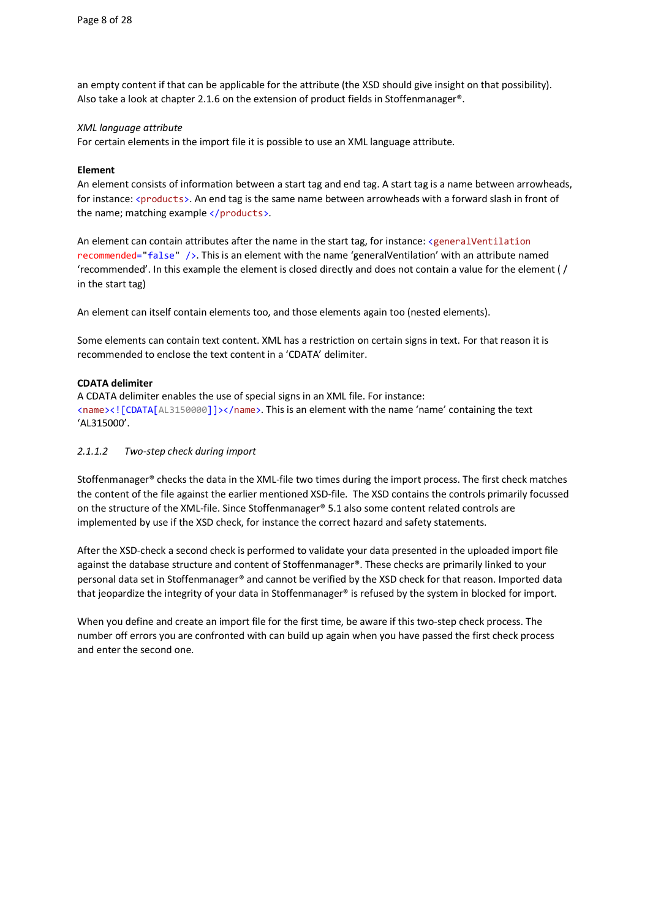an empty content if that can be applicable for the attribute (the XSD should give insight on that possibility). Also take a look at chapter [2.1.6 o](#page-11-0)n the extension of product fields in Stoffenmanager®.

## *XML language attribute*

For certain elements in the import file it is possible to use an XML language attribute.

## **Element**

An element consists of information between a start tag and end tag. A start tag is a name between arrowheads, for instance: <products>. An end tag is the same name between arrowheads with a forward slash in front of the name; matching example  $\langle$  /products>.

An element can contain attributes after the name in the start tag, for instance: <generalVentilation recommended="false" />. This is an element with the name 'generalVentilation' with an attribute named 'recommended'. In this example the element is closed directly and does not contain a value for the element ( / in the start tag)

An element can itself contain elements too, and those elements again too (nested elements).

Some elements can contain text content. XML has a restriction on certain signs in text. For that reason it is recommended to enclose the text content in a 'CDATA' delimiter.

## **CDATA delimiter**

A CDATA delimiter enables the use of special signs in an XML file. For instance: <name><![CDATA[AL3150000]]></name>. This is an element with the name 'name' containing the text 'AL315000'.

## *2.1.1.2 Two-step check during import*

Stoffenmanager® checks the data in the XML-file two times during the import process. The first check matches the content of the file against the earlier mentioned XSD-file. The XSD contains the controls primarily focussed on the structure of the XML-file. Since Stoffenmanager® 5.1 also some content related controls are implemented by use if the XSD check, for instance the correct hazard and safety statements.

After the XSD-check a second check is performed to validate your data presented in the uploaded import file against the database structure and content of Stoffenmanager®. These checks are primarily linked to your personal data set in Stoffenmanager® and cannot be verified by the XSD check for that reason. Imported data that jeopardize the integrity of your data in Stoffenmanager® is refused by the system in blocked for import.

When you define and create an import file for the first time, be aware if this two-step check process. The number off errors you are confronted with can build up again when you have passed the first check process and enter the second one.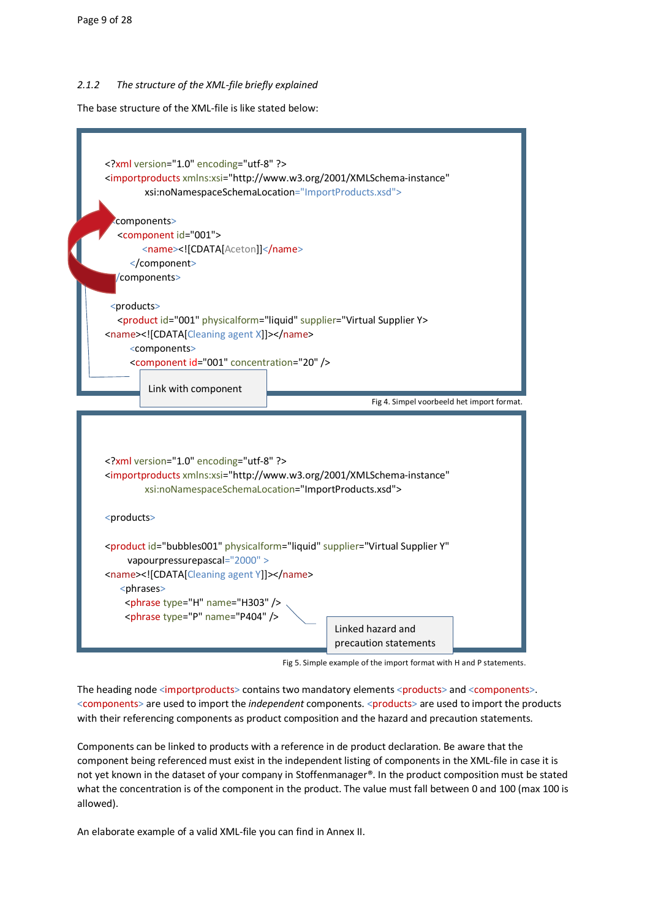## *2.1.2 The structure of the XML-file briefly explained*

The base structure of the XML-file is like stated below:



Fig 5. Simple example of the import format with H and P statements.

The heading node <importproducts> contains two mandatory elements <products> and <components>. <components> are used to import the *independent* components. <products> are used to import the products with their referencing components as product composition and the hazard and precaution statements.

Components can be linked to products with a reference in de product declaration. Be aware that the component being referenced must exist in the independent listing of components in the XML-file in case it is not yet known in the dataset of your company in Stoffenmanager®. In the product composition must be stated what the concentration is of the component in the product. The value must fall between 0 and 100 (max 100 is allowed).

An elaborate example of a valid XML-file you can find in Annex II.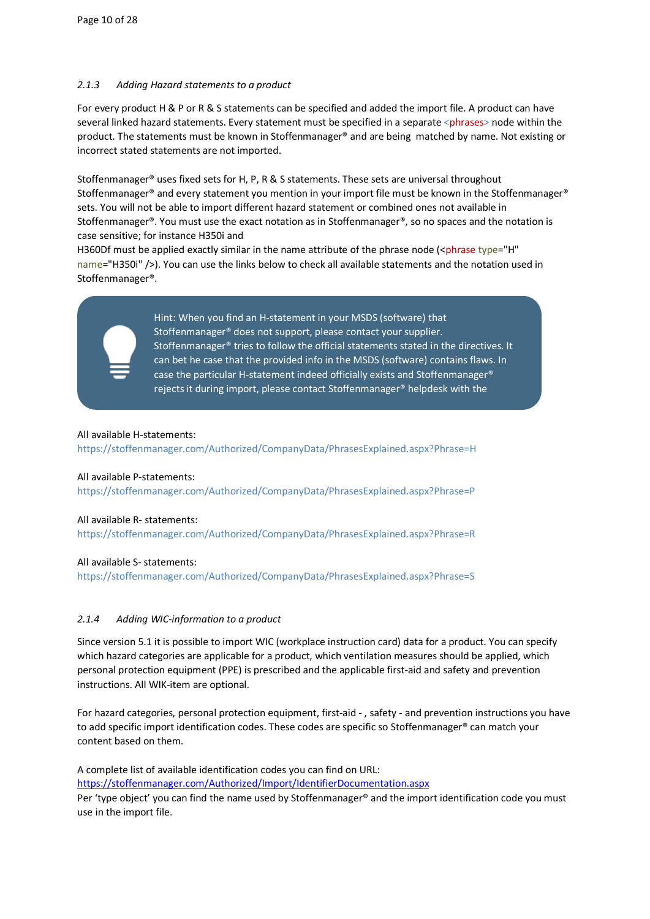## *2.1.3 Adding Hazard statements to a product*

For every product H & P or R & S statements can be specified and added the import file. A product can have several linked hazard statements. Every statement must be specified in a separate <phrases> node within the product. The statements must be known in Stoffenmanager® and are being matched by name. Not existing or incorrect stated statements are not imported.

Stoffenmanager® uses fixed sets for H, P, R & S statements. These sets are universal throughout Stoffenmanager® and every statement you mention in your import file must be known in the Stoffenmanager® sets. You will not be able to import different hazard statement or combined ones not available in Stoffenmanager®. You must use the exact notation as in Stoffenmanager®, so no spaces and the notation is case sensitive; for instance H350i and

H360Df must be applied exactly similar in the name attribute of the phrase node (<phrase type="H" name="H350i" />). You can use the links below to check all available statements and the notation used in Stoffenmanager®.



**Alle best case the particular H-statement indeed officially exists and Stoffenmanager®** rejects it during import, please contact Stoffenmanager® helpdesk with the  $\mathbf{r}$ Hint: When you find an H-statement in your MSDS (software) that Stoffenmanager® does not support, please contact your supplier. Stoffenmanager® tries to follow the official statements stated in the directives. It can bet he case that the provided info in the MSDS (software) contains flaws. In

## All available H-statements:

https://stoffenmanager.com/Authorized/CompanyData/PhrasesExplained.aspx?Phrase=H

## All available P-statements:

[https://stoffenmanager.com/Authorized/CompanyData/PhrasesExplained.aspx?Phrase=P](https://www.stoffenmanager.nl/Authorized/CompanyData/PhrasesExplained.aspx?Phrase=P)

## All available R- statements:

[https://stoffenmanager.com/Authorized/CompanyData/PhrasesExplained.aspx?Phrase=R](https://www.stoffenmanager.nl/Authorized/CompanyData/PhrasesExplained.aspx?Phrase=R)

## All available S- statements:

[https://stoffenmanager.com/Authorized/CompanyData/PhrasesExplained.aspx?Phrase=S](https://www.stoffenmanager.nl/Authorized/CompanyData/PhrasesExplained.aspx?Phrase=S)

## <span id="page-9-0"></span>*2.1.4 Adding WIC-information to a product*

Since version 5.1 it is possible to import WIC (workplace instruction card) data for a product. You can specify which hazard categories are applicable for a product, which ventilation measures should be applied, which personal protection equipment (PPE) is prescribed and the applicable first-aid and safety and prevention instructions. All WIK-item are optional.

For hazard categories, personal protection equipment, first-aid - , safety - and prevention instructions you have to add specific import identification codes. These codes are specific so Stoffenmanager® can match your content based on them.

A complete list of available identification codes you can find on URL: [https://stoffenmanager.com/Authorized/Import/IdentifierDocumentation.aspx](https://www.stoffenmanager.nl/Authorized/Import/IdentifierDocumentation.aspx) Per 'type object' you can find the name used by Stoffenmanager® and the import identification code you must use in the import file.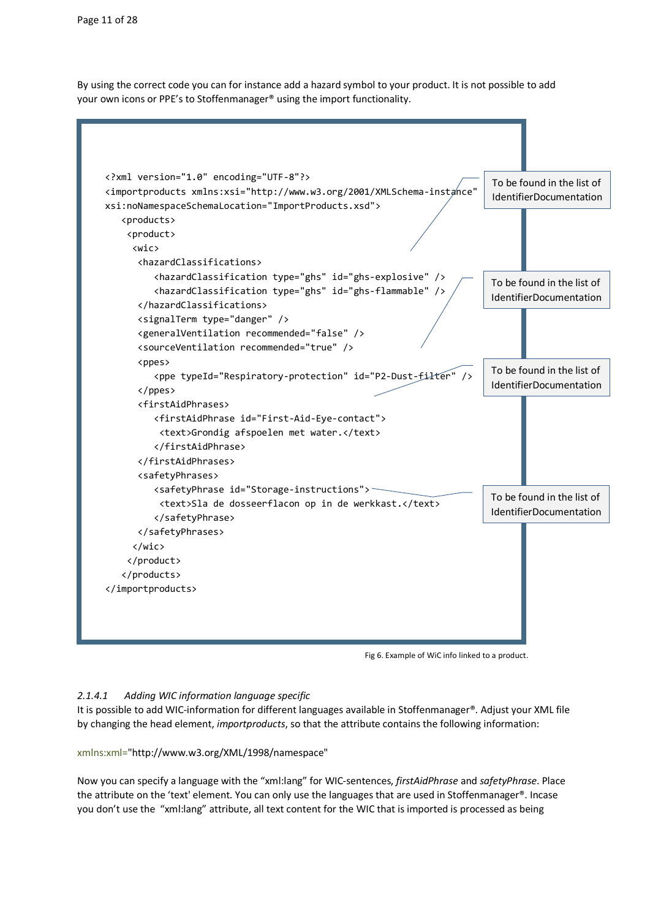By using the correct code you can for instance add a hazard symbol to your product. It is not possible to add your own icons or PPE's to Stoffenmanager® using the import functionality.



Fig 6. Example of WiC info linked to a product.

## <span id="page-10-0"></span>*2.1.4.1 Adding WIC information language specific*

It is possible to add WIC-information for different languages available in Stoffenmanager®. Adjust your XML file by changing the head element, *importproducts*, so that the attribute contains the following information:

xmlns:xml="http://www.w3.org/XML/1998/namespace"

Now you can specify a language with the "xml:lang" for WIC-sentences, *firstAidPhrase* and *safetyPhrase*. Place the attribute on the 'text' element. You can only use the languages that are used in Stoffenmanager®. Incase you don't use the "xml:lang" attribute, all text content for the WIC that is imported is processed as being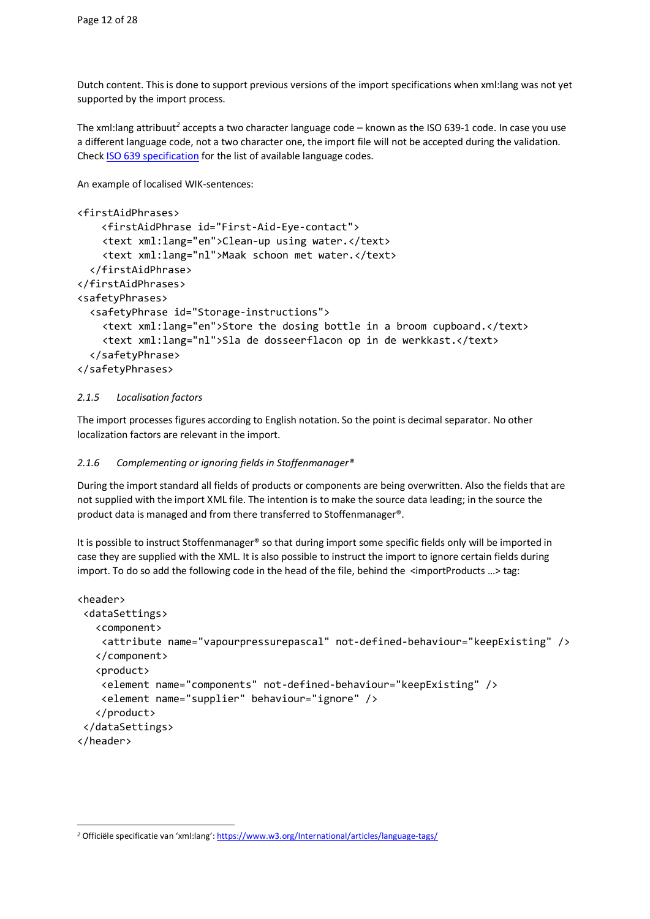Dutch content. This is done to support previous versions of the import specifications when xml:lang was not yet supported by the import process.

The xml:lang attribuut*[2](#page-11-1)* accepts a two character language code – known as the ISO 639-1 code. In case you use a different language code, not a two character one, the import file will not be accepted during the validation. Chec[k ISO 639 specification](http://www.iso.org/iso/home/standards/language_codes.htm) for the list of available language codes.

An example of localised WIK-sentences:

```
<firstAidPhrases>
     <firstAidPhrase id="First-Aid-Eye-contact">
     <text xml:lang="en">Clean-up using water.</text>
     <text xml:lang="nl">Maak schoon met water.</text>
  </firstAidPhrase>
</firstAidPhrases>
<safetyPhrases>
  <safetyPhrase id="Storage-instructions">
     <text xml:lang="en">Store the dosing bottle in a broom cupboard.</text>
     <text xml:lang="nl">Sla de dosseerflacon op in de werkkast.</text>
  </safetyPhrase>
</safetyPhrases>
```
## *2.1.5 Localisation factors*

The import processes figures according to English notation. So the point is decimal separator. No other localization factors are relevant in the import.

## <span id="page-11-0"></span>*2.1.6 Complementing or ignoring fields in Stoffenmanager®*

During the import standard all fields of products or components are being overwritten. Also the fields that are not supplied with the import XML file. The intention is to make the source data leading; in the source the product data is managed and from there transferred to Stoffenmanager®.

It is possible to instruct Stoffenmanager® so that during import some specific fields only will be imported in case they are supplied with the XML. It is also possible to instruct the import to ignore certain fields during import. To do so add the following code in the head of the file, behind the <importProducts …> tag:

```
<header>
 <dataSettings>
    <component>
     <attribute name="vapourpressurepascal" not-defined-behaviour="keepExisting" />
    </component>
    <product>
     <element name="components" not-defined-behaviour="keepExisting" />
     <element name="supplier" behaviour="ignore" />
    </product>
 </dataSettings>
</header>
```
<span id="page-11-1"></span><sup>&</sup>lt;sup>2</sup> Officiële specificatie van 'xml:lang': https://www.w3.org/International/articles/language-tags/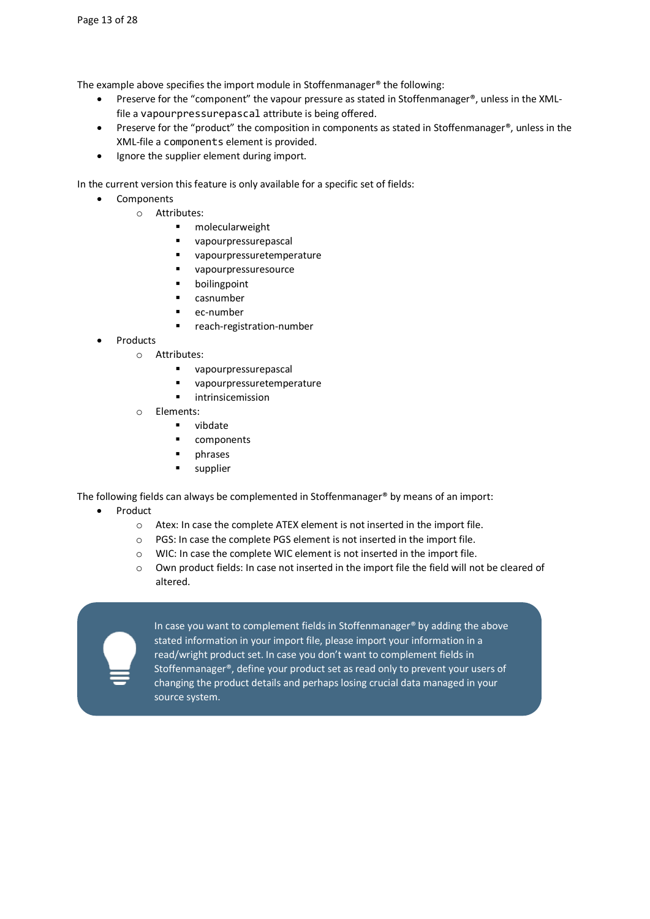The example above specifies the import module in Stoffenmanager® the following:

- Preserve for the "component" the vapour pressure as stated in Stoffenmanager®, unless in the XMLfile a vapourpressurepascal attribute is being offered.
- Preserve for the "product" the composition in components as stated in Stoffenmanager®, unless in the XML-file a components element is provided.
- Ignore the supplier element during import.

In the current version this feature is only available for a specific set of fields:

- Components
	- o Attributes:
		- molecularweight
		- **vapourpressurepascal**
		- vapourpressuretemperature
		- vapourpressuresource
		- **boilingpoint**
		- casnumber
		- ec-number
		- reach-registration-number
- **Products** 
	- o Attributes:
		- **vapourpressurepascal**
		- vapourpressuretemperature
		- **u** intrinsicemission
		- o Elements:
			- **vibdate**
			- **COMPONENTS**
			- phrases
			- **supplier**

The following fields can always be complemented in Stoffenmanager® by means of an import:

- Product
	- o Atex: In case the complete ATEX element is not inserted in the import file.
	- o PGS: In case the complete PGS element is not inserted in the import file.
	- o WIC: In case the complete WIC element is not inserted in the import file.
	- o Own product fields: In case not inserted in the import file the field will not be cleared of altered.



In case you want to complement fields in Stoffenmanager® by adding the above stated information in your import file, please import your information in a read/wright product set. In case you don't want to complement fields in Stoffenmanager®, define your product set as read only to prevent your users of changing the product details and perhaps losing crucial data managed in your source system.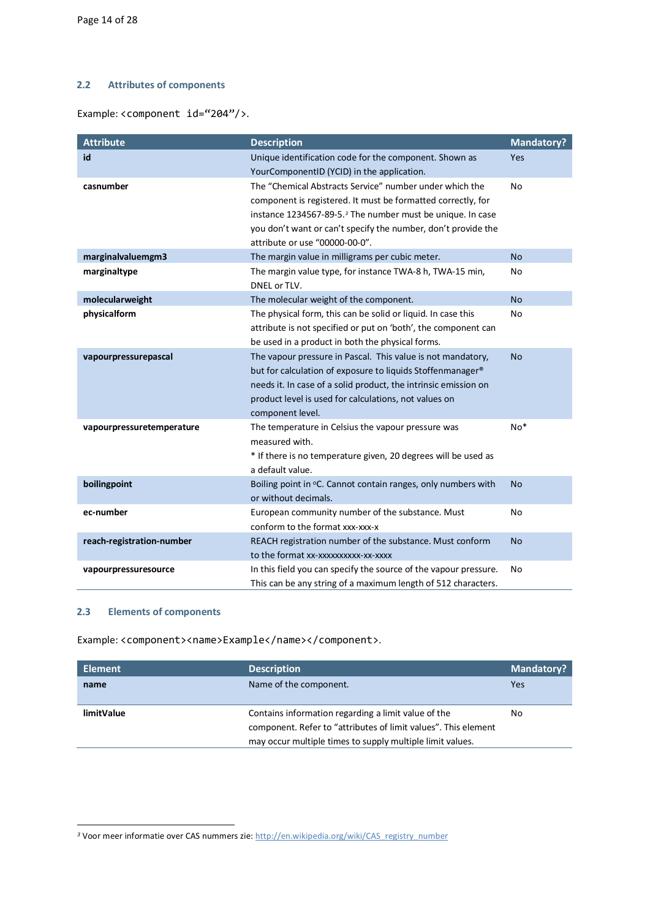## <span id="page-13-0"></span>**2.2 Attributes of components**

Example: <component id="204"/>.

| <b>Attribute</b>          | <b>Description</b>                                                     | <b>Mandatory?</b> |
|---------------------------|------------------------------------------------------------------------|-------------------|
| id                        | Unique identification code for the component. Shown as                 | Yes               |
|                           | YourComponentID (YCID) in the application.                             |                   |
| casnumber                 | The "Chemical Abstracts Service" number under which the                | No                |
|                           | component is registered. It must be formatted correctly, for           |                   |
|                           | instance 1234567-89-5. <sup>3</sup> The number must be unique. In case |                   |
|                           | you don't want or can't specify the number, don't provide the          |                   |
|                           | attribute or use "00000-00-0".                                         |                   |
| marginalvaluemgm3         | The margin value in milligrams per cubic meter.                        | <b>No</b>         |
| marginaltype              | The margin value type, for instance TWA-8 h, TWA-15 min,               | No                |
|                           | DNEL or TLV.                                                           |                   |
| molecularweight           | The molecular weight of the component.                                 | <b>No</b>         |
| physicalform              | The physical form, this can be solid or liquid. In case this           | No                |
|                           | attribute is not specified or put on 'both', the component can         |                   |
|                           | be used in a product in both the physical forms.                       |                   |
| vapourpressurepascal      | The vapour pressure in Pascal. This value is not mandatory,            | <b>No</b>         |
|                           | but for calculation of exposure to liquids Stoffenmanager®             |                   |
|                           | needs it. In case of a solid product, the intrinsic emission on        |                   |
|                           | product level is used for calculations, not values on                  |                   |
|                           | component level.                                                       |                   |
| vapourpressuretemperature | The temperature in Celsius the vapour pressure was                     | $No*$             |
|                           | measured with.                                                         |                   |
|                           | * If there is no temperature given, 20 degrees will be used as         |                   |
|                           | a default value.                                                       |                   |
| boilingpoint              | Boiling point in °C. Cannot contain ranges, only numbers with          | <b>No</b>         |
|                           | or without decimals.                                                   |                   |
| ec-number                 | European community number of the substance. Must                       | No                |
|                           | conform to the format xxx-xxx-x                                        |                   |
| reach-registration-number | REACH registration number of the substance. Must conform               | <b>No</b>         |
|                           | to the format xx-xxxxxxxxxx-xx-xxxx                                    |                   |
| vapourpressuresource      | In this field you can specify the source of the vapour pressure.       | No                |
|                           | This can be any string of a maximum length of 512 characters.          |                   |

## <span id="page-13-1"></span>**2.3 Elements of components**

Example: <component><name>Example</name></component>.

| <b>Element</b>    | <b>Description</b>                                                                                                    | <b>Mandatory?</b> |
|-------------------|-----------------------------------------------------------------------------------------------------------------------|-------------------|
| name              | Name of the component.                                                                                                | Yes               |
| <b>limitValue</b> | Contains information regarding a limit value of the<br>component. Refer to "attributes of limit values". This element | No                |
|                   | may occur multiple times to supply multiple limit values.                                                             |                   |

<span id="page-13-2"></span><sup>&</sup>lt;sup>3</sup> Voor meer informatie over CAS nummers zie: http://en.wikipedia.org/wiki/CAS\_registry\_number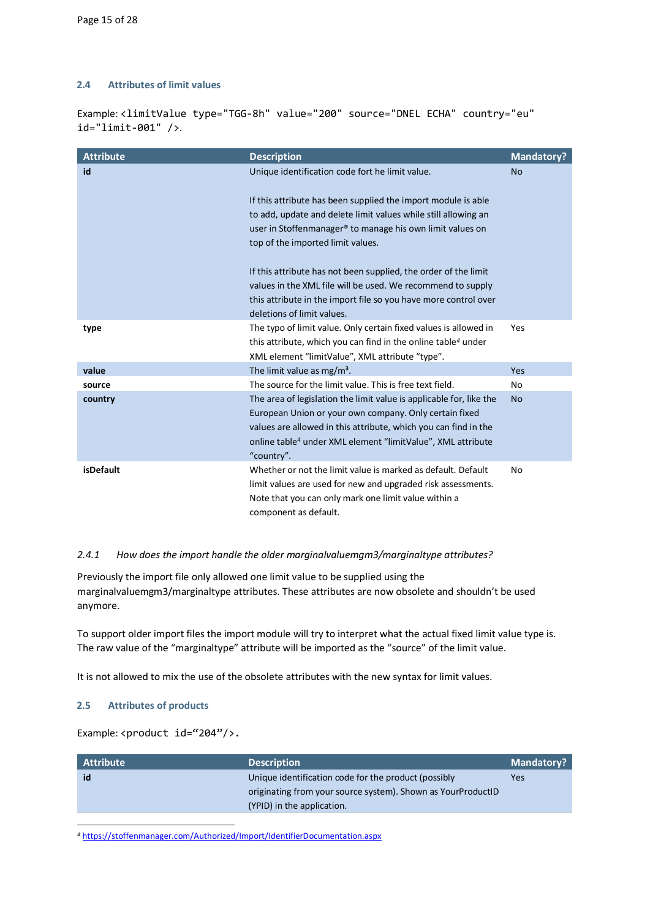## <span id="page-14-0"></span>**2.4 Attributes of limit values**

Example: <limitValue type="TGG-8h" value="200" source="DNEL ECHA" country="eu" id="limit-001" />.

<span id="page-14-2"></span>

| <b>Attribute</b> | <b>Description</b>                                                                                                                                                                                                                                                                        | <b>Mandatory?</b> |
|------------------|-------------------------------------------------------------------------------------------------------------------------------------------------------------------------------------------------------------------------------------------------------------------------------------------|-------------------|
| id               | Unique identification code fort he limit value.                                                                                                                                                                                                                                           | <b>No</b>         |
|                  | If this attribute has been supplied the import module is able<br>to add, update and delete limit values while still allowing an<br>user in Stoffenmanager® to manage his own limit values on<br>top of the imported limit values.                                                         |                   |
|                  | If this attribute has not been supplied, the order of the limit                                                                                                                                                                                                                           |                   |
|                  | values in the XML file will be used. We recommend to supply<br>this attribute in the import file so you have more control over                                                                                                                                                            |                   |
|                  | deletions of limit values.                                                                                                                                                                                                                                                                |                   |
| type             | The typo of limit value. Only certain fixed values is allowed in<br>this attribute, which you can find in the online table <sup>4</sup> under<br>XML element "limitValue", XML attribute "type".                                                                                          | Yes               |
| value            | The limit value as mg/m <sup>3</sup> .                                                                                                                                                                                                                                                    | Yes               |
| source           | The source for the limit value. This is free text field.                                                                                                                                                                                                                                  | No                |
| country          | The area of legislation the limit value is applicable for, like the<br>European Union or your own company. Only certain fixed<br>values are allowed in this attribute, which you can find in the<br>online table <sup>4</sup> under XML element "limitValue", XML attribute<br>"country". | <b>No</b>         |
| <b>isDefault</b> | Whether or not the limit value is marked as default. Default<br>limit values are used for new and upgraded risk assessments.<br>Note that you can only mark one limit value within a<br>component as default.                                                                             | No                |

## *2.4.1 How does the import handle the older marginalvaluemgm3/marginaltype attributes?*

Previously the import file only allowed one limit value to be supplied using the marginalvaluemgm3/marginaltype attributes. These attributes are now obsolete and shouldn't be used anymore.

To support older import files the import module will try to interpret what the actual fixed limit value type is. The raw value of the "marginaltype" attribute will be imported as the "source" of the limit value.

<span id="page-14-1"></span>It is not allowed to mix the use of the obsolete attributes with the new syntax for limit values.

## **2.5 Attributes of products**

Example: <product id="204"/>.

| <b>Attribute</b> | <b>Description</b>                                           | <b>Mandatory?</b> |
|------------------|--------------------------------------------------------------|-------------------|
| id               | Unique identification code for the product (possibly         | Yes               |
|                  | originating from your source system). Shown as YourProductID |                   |
|                  | (YPID) in the application.                                   |                   |

<span id="page-14-3"></span>*<sup>4</sup>* [https://stoffenmanager.com/Authorized/Import/IdentifierDocumentation.aspx](https://stoffenmanager.nl/Authorized/Import/IdentifierDocumentation.aspx)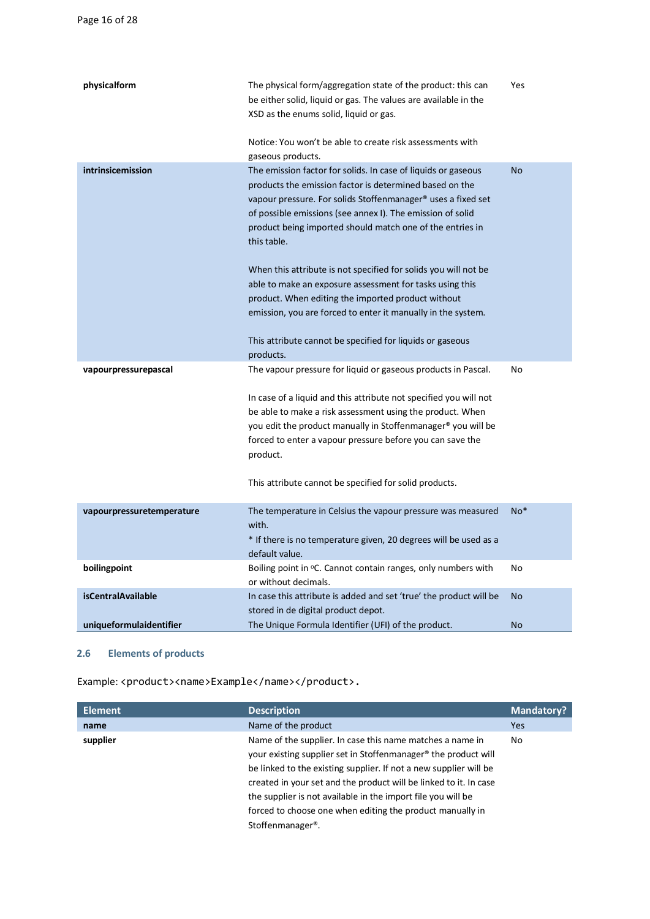| physicalform              | The physical form/aggregation state of the product: this can<br>be either solid, liquid or gas. The values are available in the<br>XSD as the enums solid, liquid or gas.<br>Notice: You won't be able to create risk assessments with                                                                                                                                                             | Yes       |
|---------------------------|----------------------------------------------------------------------------------------------------------------------------------------------------------------------------------------------------------------------------------------------------------------------------------------------------------------------------------------------------------------------------------------------------|-----------|
|                           | gaseous products.                                                                                                                                                                                                                                                                                                                                                                                  |           |
| intrinsicemission         | The emission factor for solids. In case of liquids or gaseous<br>products the emission factor is determined based on the<br>vapour pressure. For solids Stoffenmanager® uses a fixed set<br>of possible emissions (see annex I). The emission of solid<br>product being imported should match one of the entries in<br>this table.                                                                 | <b>No</b> |
|                           | When this attribute is not specified for solids you will not be<br>able to make an exposure assessment for tasks using this<br>product. When editing the imported product without<br>emission, you are forced to enter it manually in the system.<br>This attribute cannot be specified for liquids or gaseous<br>products.                                                                        |           |
| vapourpressurepascal      | The vapour pressure for liquid or gaseous products in Pascal.<br>In case of a liquid and this attribute not specified you will not<br>be able to make a risk assessment using the product. When<br>you edit the product manually in Stoffenmanager® you will be<br>forced to enter a vapour pressure before you can save the<br>product.<br>This attribute cannot be specified for solid products. | No        |
| vapourpressuretemperature | The temperature in Celsius the vapour pressure was measured<br>with.<br>* If there is no temperature given, 20 degrees will be used as a<br>default value.                                                                                                                                                                                                                                         | $No*$     |
| boilingpoint              | Boiling point in °C. Cannot contain ranges, only numbers with<br>or without decimals.                                                                                                                                                                                                                                                                                                              | No        |
| <b>isCentralAvailable</b> | In case this attribute is added and set 'true' the product will be<br>stored in de digital product depot.                                                                                                                                                                                                                                                                                          | No        |
| uniqueformulaidentifier   | The Unique Formula Identifier (UFI) of the product.                                                                                                                                                                                                                                                                                                                                                | <b>No</b> |

## <span id="page-15-0"></span>**2.6 Elements of products**

Example: <product><name>Example</name></product>.

| <b>Element</b> | <b>Description</b>                                                                                                                                                                                                                                                                                                                                                                                                                              | <b>Mandatory?</b> |
|----------------|-------------------------------------------------------------------------------------------------------------------------------------------------------------------------------------------------------------------------------------------------------------------------------------------------------------------------------------------------------------------------------------------------------------------------------------------------|-------------------|
| name           | Name of the product                                                                                                                                                                                                                                                                                                                                                                                                                             | Yes               |
| supplier       | Name of the supplier. In case this name matches a name in<br>your existing supplier set in Stoffenmanager <sup>®</sup> the product will<br>be linked to the existing supplier. If not a new supplier will be<br>created in your set and the product will be linked to it. In case<br>the supplier is not available in the import file you will be<br>forced to choose one when editing the product manually in<br>Stoffenmanager <sup>®</sup> . | No.               |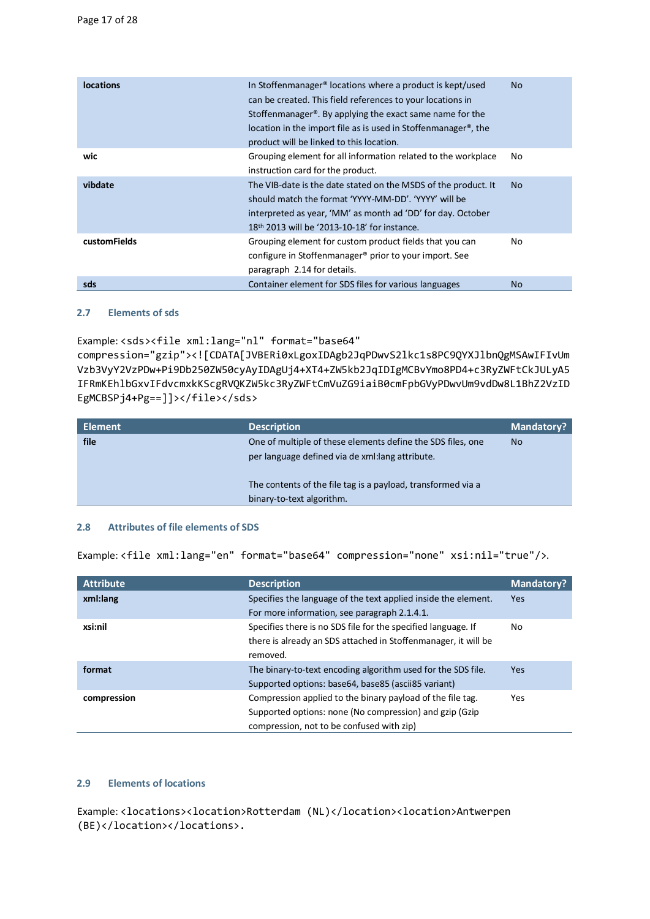| <b>locations</b>    | In Stoffenmanager <sup>®</sup> locations where a product is kept/used<br>can be created. This field references to your locations in<br>Stoffenmanager <sup>®</sup> . By applying the exact same name for the<br>location in the import file as is used in Stoffenmanager <sup>®</sup> , the<br>product will be linked to this location. | No.       |
|---------------------|-----------------------------------------------------------------------------------------------------------------------------------------------------------------------------------------------------------------------------------------------------------------------------------------------------------------------------------------|-----------|
| wic                 | Grouping element for all information related to the workplace<br>instruction card for the product.                                                                                                                                                                                                                                      | No.       |
| vibdate             | The VIB-date is the date stated on the MSDS of the product. It<br>should match the format 'YYYY-MM-DD'. 'YYYY' will be<br>interpreted as year, 'MM' as month ad 'DD' for day. October<br>18 <sup>th</sup> 2013 will be '2013-10-18' for instance.                                                                                       | No.       |
| <b>customFields</b> | Grouping element for custom product fields that you can<br>configure in Stoffenmanager <sup>®</sup> prior to your import. See<br>paragraph 2.14 for details.                                                                                                                                                                            | No.       |
| sds                 | Container element for SDS files for various languages                                                                                                                                                                                                                                                                                   | <b>No</b> |

## <span id="page-16-0"></span>**2.7 Elements of sds**

Example: <sds><file xml:lang="nl" format="base64"

compression="gzip"><![CDATA[JVBERi0xLgoxIDAgb2JqPDwvS2lkc1s8PC9QYXJlbnQgMSAwIFIvUm Vzb3VyY2VzPDw+Pi9Db250ZW50cyAyIDAgUj4+XT4+ZW5kb2JqIDIgMCBvYmo8PD4+c3RyZWFtCkJULyA5 IFRmKEhlbGxvIFdvcmxkKScgRVQKZW5kc3RyZWFtCmVuZG9iaiB0cmFpbGVyPDwvUm9vdDw8L1BhZ2VzID EgMCBSPj4+Pg==]]></file></sds>

| <b>Element</b> | <b>Description</b>                                                                                              | <b>Mandatory?</b> |
|----------------|-----------------------------------------------------------------------------------------------------------------|-------------------|
| file           | One of multiple of these elements define the SDS files, one<br>per language defined via de xml: lang attribute. | <b>No</b>         |
|                | The contents of the file tag is a payload, transformed via a<br>binary-to-text algorithm.                       |                   |

## **2.8 Attributes of file elements of SDS**

Example: <file xml:lang="en" format="base64" compression="none" xsi:nil="true"/>.

| <b>Attribute</b> | <b>Description</b>                                             | <b>Mandatory?</b> |
|------------------|----------------------------------------------------------------|-------------------|
| xml:lang         | Specifies the language of the text applied inside the element. | Yes               |
|                  | For more information, see paragraph 2.1.4.1.                   |                   |
| xsi:nil          | Specifies there is no SDS file for the specified language. If  | No                |
|                  | there is already an SDS attached in Stoffenmanager, it will be |                   |
|                  | removed.                                                       |                   |
| format           | The binary-to-text encoding algorithm used for the SDS file.   | <b>Yes</b>        |
|                  | Supported options: base64, base85 (ascii85 variant)            |                   |
| compression      | Compression applied to the binary payload of the file tag.     | Yes               |
|                  | Supported options: none (No compression) and gzip (Gzip        |                   |
|                  | compression, not to be confused with zip)                      |                   |

## **2.9 Elements of locations**

Example: <locations><location>Rotterdam (NL)</location><location>Antwerpen (BE)</location></locations>.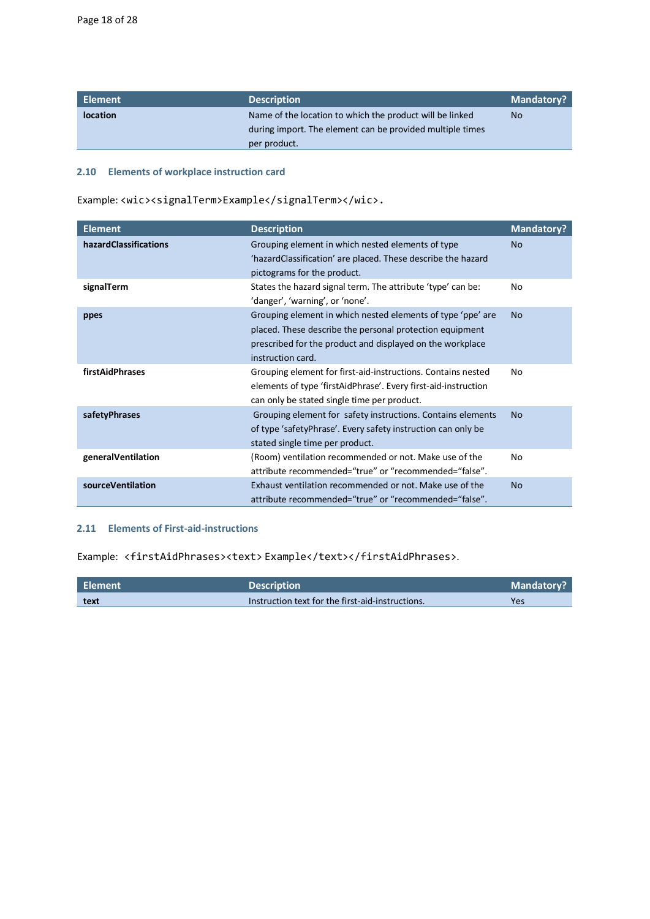| Element         | <b>Description</b>                                        | <b>Mandatory?</b> |
|-----------------|-----------------------------------------------------------|-------------------|
| <b>location</b> | Name of the location to which the product will be linked  | <b>No</b>         |
|                 | during import. The element can be provided multiple times |                   |
|                 | per product.                                              |                   |

## <span id="page-17-0"></span>**2.10 Elements of workplace instruction card**

| <b>Element</b>        | <b>Description</b>                                                                                                                                                                                        | <b>Mandatory?</b> |
|-----------------------|-----------------------------------------------------------------------------------------------------------------------------------------------------------------------------------------------------------|-------------------|
| hazardClassifications | Grouping element in which nested elements of type<br>'hazardClassification' are placed. These describe the hazard<br>pictograms for the product.                                                          | <b>No</b>         |
| signalTerm            | States the hazard signal term. The attribute 'type' can be:<br>'danger', 'warning', or 'none'.                                                                                                            | No                |
| ppes                  | Grouping element in which nested elements of type 'ppe' are<br>placed. These describe the personal protection equipment<br>prescribed for the product and displayed on the workplace<br>instruction card. | N <sub>o</sub>    |
| firstAidPhrases       | Grouping element for first-aid-instructions. Contains nested<br>elements of type 'firstAidPhrase'. Every first-aid-instruction<br>can only be stated single time per product.                             | No                |
| safetyPhrases         | Grouping element for safety instructions. Contains elements<br>of type 'safetyPhrase'. Every safety instruction can only be<br>stated single time per product.                                            | <b>No</b>         |
| generalVentilation    | (Room) ventilation recommended or not. Make use of the<br>attribute recommended="true" or "recommended="false".                                                                                           | No                |
| sourceVentilation     | Exhaust ventilation recommended or not. Make use of the<br>attribute recommended="true" or "recommended="false".                                                                                          | <b>No</b>         |

## <span id="page-17-1"></span>**2.11 Elements of First-aid-instructions**

Example: <firstAidPhrases><text>Example</text></firstAidPhrases>.

| Element | <b>Description</b>                               | <b>Mandatory?</b> |
|---------|--------------------------------------------------|-------------------|
| text    | Instruction text for the first-aid-instructions. | Yes               |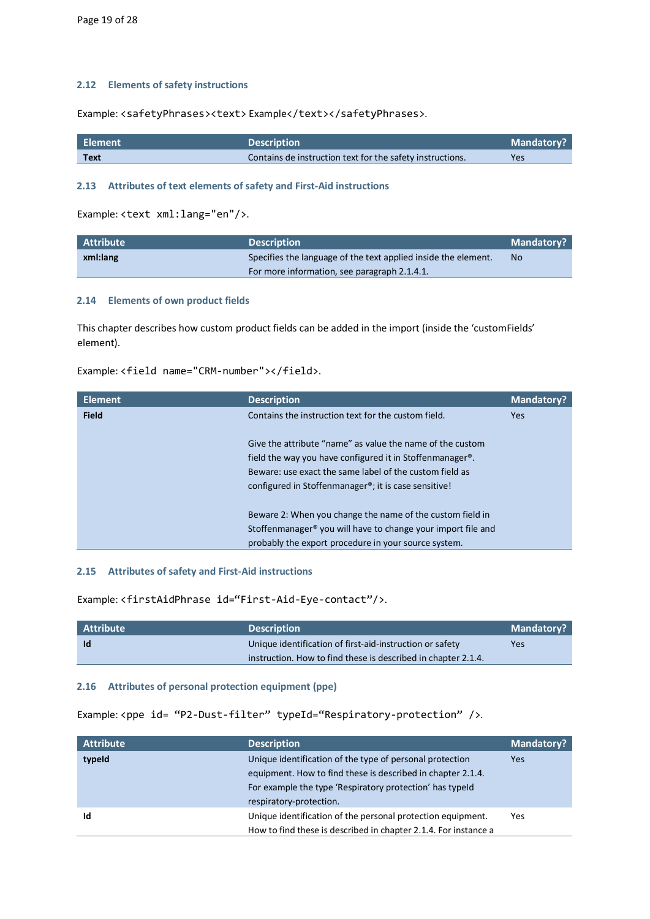## <span id="page-18-0"></span>**2.12 Elements of safety instructions**

Example: <safetyPhrases><text> Example</text></safetyPhrases>.

| Element | <b>Description</b>                                        | Mandatory? |
|---------|-----------------------------------------------------------|------------|
| Text    | Contains de instruction text for the safety instructions. | Yes        |

## <span id="page-18-1"></span>**2.13 Attributes of text elements of safety and First-Aid instructions**

Example: <text xml:lang="en"/>.

| <b>Attribute</b> | <b>Description</b>                                             | <b>Mandatory?</b> |
|------------------|----------------------------------------------------------------|-------------------|
| xml:lang         | Specifies the language of the text applied inside the element. | No                |
|                  | For more information, see paragraph 2.1.4.1.                   |                   |

### <span id="page-18-2"></span>**2.14 Elements of own product fields**

This chapter describes how custom product fields can be added in the import (inside the 'customFields' element).

## Example: <field name="CRM-number"></field>.

| <b>Element</b> | <b>Description</b>                                                       | <b>Mandatory?</b> |
|----------------|--------------------------------------------------------------------------|-------------------|
| <b>Field</b>   | Contains the instruction text for the custom field.                      | <b>Yes</b>        |
|                |                                                                          |                   |
|                | Give the attribute "name" as value the name of the custom                |                   |
|                | field the way you have configured it in Stoffenmanager®.                 |                   |
|                | Beware: use exact the same label of the custom field as                  |                   |
|                | configured in Stoffenmanager <sup>®</sup> ; it is case sensitive!        |                   |
|                |                                                                          |                   |
|                | Beware 2: When you change the name of the custom field in                |                   |
|                | Stoffenmanager <sup>®</sup> you will have to change your import file and |                   |
|                | probably the export procedure in your source system.                     |                   |

### <span id="page-18-3"></span>**2.15 Attributes of safety and First-Aid instructions**

Example: <firstAidPhrase id="First-Aid-Eye-contact"/>.

| Attribute | <b>Description</b>                                            | <b>Mandatory?</b> |
|-----------|---------------------------------------------------------------|-------------------|
| <b>Id</b> | Unique identification of first-aid-instruction or safety      | Yes               |
|           | instruction. How to find these is described in chapter 2.1.4. |                   |

## <span id="page-18-4"></span>**2.16 Attributes of personal protection equipment (ppe)**

Example: <ppe id= "P2-Dust-filter" typeId="Respiratory-protection" />.

| <b>Attribute</b> | <b>Description</b>                                              | <b>Mandatory?</b> |
|------------------|-----------------------------------------------------------------|-------------------|
| typeld           | Unique identification of the type of personal protection        | Yes               |
|                  | equipment. How to find these is described in chapter 2.1.4.     |                   |
|                  | For example the type 'Respiratory protection' has typeld        |                   |
|                  | respiratory-protection.                                         |                   |
| Id               | Unique identification of the personal protection equipment.     | Yes               |
|                  | How to find these is described in chapter 2.1.4. For instance a |                   |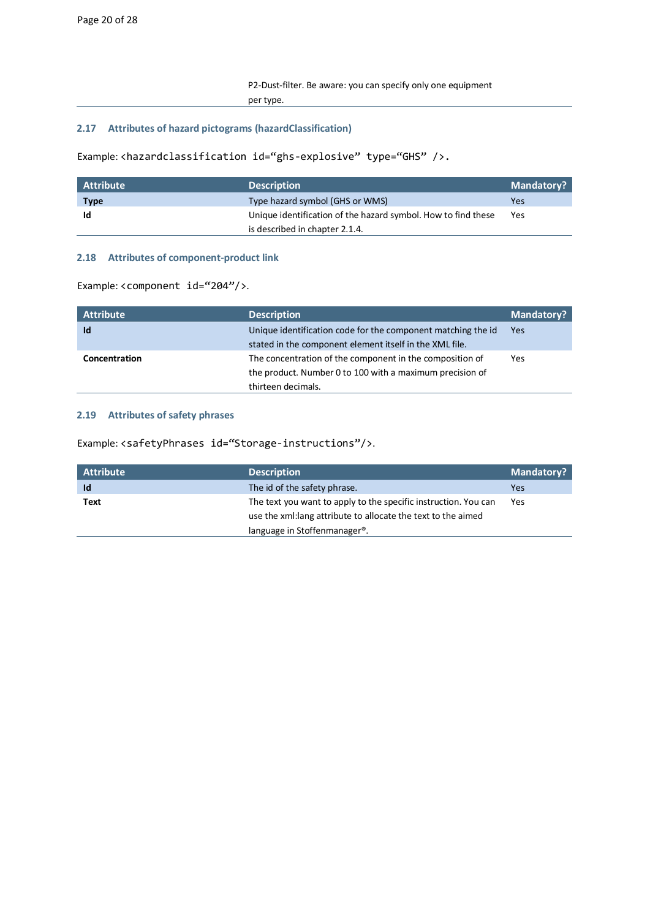## <span id="page-19-0"></span>**2.17 Attributes of hazard pictograms (hazardClassification)**

Example: <hazardclassification id="ghs-explosive" type="GHS" />.

| $\mathsf I$ Attribute $\mathsf I$ | <b>Description</b>                                            | <b>Mandatory?</b> |
|-----------------------------------|---------------------------------------------------------------|-------------------|
| <b>Type</b>                       | Type hazard symbol (GHS or WMS)                               | Yes               |
| Id                                | Unique identification of the hazard symbol. How to find these | Yes               |
|                                   | is described in chapter 2.1.4.                                |                   |

## <span id="page-19-1"></span>**2.18 Attributes of component-product link**

Example: <component id="204"/>.

| <b>Attribute</b> | <b>Description</b>                                           | <b>Mandatory?</b> |
|------------------|--------------------------------------------------------------|-------------------|
| Id               | Unique identification code for the component matching the id | Yes               |
|                  | stated in the component element itself in the XML file.      |                   |
| Concentration    | The concentration of the component in the composition of     | Yes               |
|                  | the product. Number 0 to 100 with a maximum precision of     |                   |
|                  | thirteen decimals.                                           |                   |

## <span id="page-19-2"></span>**2.19 Attributes of safety phrases**

Example: <safetyPhrases id="Storage-instructions"/>.

| <b>Attribute</b> | <b>Description</b>                                              | <b>Mandatory?</b> |
|------------------|-----------------------------------------------------------------|-------------------|
| Id               | The id of the safety phrase.                                    | Yes               |
| Text             | The text you want to apply to the specific instruction. You can | Yes               |
|                  | use the xml: lang attribute to allocate the text to the aimed   |                   |
|                  | language in Stoffenmanager <sup>®</sup> .                       |                   |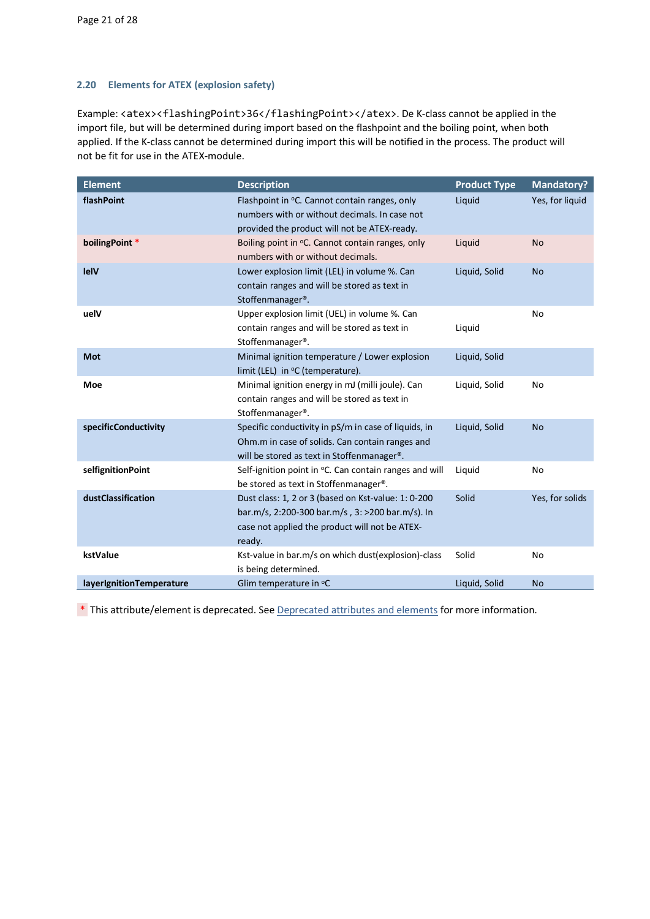## <span id="page-20-0"></span>**2.20 Elements for ATEX (explosion safety)**

Example: <atex><flashingPoint>36</flashingPoint></atex>. De K-class cannot be applied in the import file, but will be determined during import based on the flashpoint and the boiling point, when both applied. If the K-class cannot be determined during import this will be notified in the process. The product will not be fit for use in the ATEX-module.

| <b>Element</b>           | <b>Description</b>                                                                                                                                                  | <b>Product Type</b> | <b>Mandatory?</b> |
|--------------------------|---------------------------------------------------------------------------------------------------------------------------------------------------------------------|---------------------|-------------------|
| flashPoint               | Flashpoint in °C. Cannot contain ranges, only<br>numbers with or without decimals. In case not<br>provided the product will not be ATEX-ready.                      | Liquid              | Yes, for liquid   |
| boilingPoint *           | Boiling point in °C. Cannot contain ranges, only<br>numbers with or without decimals.                                                                               | Liquid              | <b>No</b>         |
| lelV                     | Lower explosion limit (LEL) in volume %. Can<br>contain ranges and will be stored as text in<br>Stoffenmanager®.                                                    | Liquid, Solid       | <b>No</b>         |
| uelV                     | Upper explosion limit (UEL) in volume %. Can<br>contain ranges and will be stored as text in<br>Stoffenmanager®.                                                    | Liquid              | No                |
| <b>Mot</b>               | Minimal ignition temperature / Lower explosion<br>limit (LEL) in °C (temperature).                                                                                  | Liquid, Solid       |                   |
| <b>Moe</b>               | Minimal ignition energy in mJ (milli joule). Can<br>contain ranges and will be stored as text in<br>Stoffenmanager®.                                                | Liquid, Solid       | No                |
| specificConductivity     | Specific conductivity in pS/m in case of liquids, in<br>Ohm.m in case of solids. Can contain ranges and<br>will be stored as text in Stoffenmanager <sup>®</sup> .  | Liquid, Solid       | <b>No</b>         |
| selfignitionPoint        | Self-ignition point in °C. Can contain ranges and will<br>be stored as text in Stoffenmanager®.                                                                     | Liquid              | No                |
| dustClassification       | Dust class: 1, 2 or 3 (based on Kst-value: 1: 0-200<br>bar.m/s, 2:200-300 bar.m/s, 3: >200 bar.m/s). In<br>case not applied the product will not be ATEX-<br>ready. | Solid               | Yes, for solids   |
| kstValue                 | Kst-value in bar.m/s on which dust(explosion)-class<br>is being determined.                                                                                         | Solid               | No                |
| layerIgnitionTemperature | Glim temperature in °C                                                                                                                                              | Liquid, Solid       | <b>No</b>         |

\* This attribute/element is deprecated. See [Deprecated attributes and elements](#page-22-0) for more information.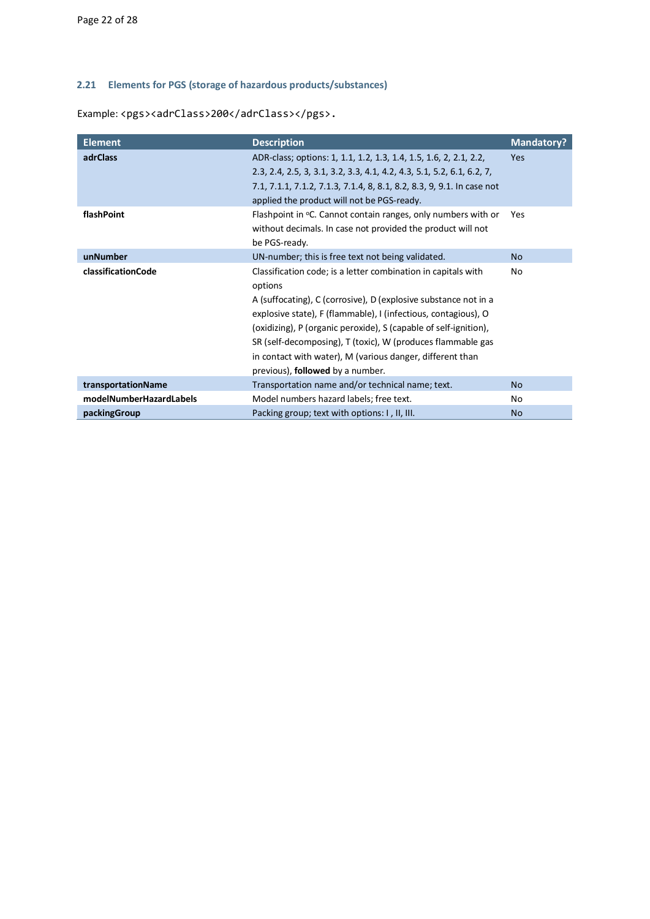## <span id="page-21-0"></span>**2.21 Elements for PGS (storage of hazardous products/substances)**

Example: <pgs><adrClass>200</adrClass></pgs>.

| <b>Element</b>          | <b>Description</b>                                                                                                                                                                                                                                                                                                                                                                                                                                | <b>Mandatory?</b> |
|-------------------------|---------------------------------------------------------------------------------------------------------------------------------------------------------------------------------------------------------------------------------------------------------------------------------------------------------------------------------------------------------------------------------------------------------------------------------------------------|-------------------|
| <b>adrClass</b>         | ADR-class; options: 1, 1.1, 1.2, 1.3, 1.4, 1.5, 1.6, 2, 2.1, 2.2,<br>2.3, 2.4, 2.5, 3, 3.1, 3.2, 3.3, 4.1, 4.2, 4.3, 5.1, 5.2, 6.1, 6.2, 7,<br>7.1, 7.1.1, 7.1.2, 7.1.3, 7.1.4, 8, 8.1, 8.2, 8.3, 9, 9.1. In case not<br>applied the product will not be PGS-ready.                                                                                                                                                                               | Yes               |
| flashPoint              | Flashpoint in °C. Cannot contain ranges, only numbers with or<br>without decimals. In case not provided the product will not<br>be PGS-ready.                                                                                                                                                                                                                                                                                                     | Yes               |
| unNumber                | UN-number; this is free text not being validated.                                                                                                                                                                                                                                                                                                                                                                                                 | <b>No</b>         |
| classificationCode      | Classification code; is a letter combination in capitals with<br>options<br>A (suffocating), C (corrosive), D (explosive substance not in a<br>explosive state), F (flammable), I (infectious, contagious), O<br>(oxidizing), P (organic peroxide), S (capable of self-ignition),<br>SR (self-decomposing), T (toxic), W (produces flammable gas<br>in contact with water), M (various danger, different than<br>previous), followed by a number. | No                |
| transportationName      | Transportation name and/or technical name; text.                                                                                                                                                                                                                                                                                                                                                                                                  | <b>No</b>         |
| modelNumberHazardLabels | Model numbers hazard labels; free text.                                                                                                                                                                                                                                                                                                                                                                                                           | No                |
| packingGroup            | Packing group; text with options: I, II, III.                                                                                                                                                                                                                                                                                                                                                                                                     | <b>No</b>         |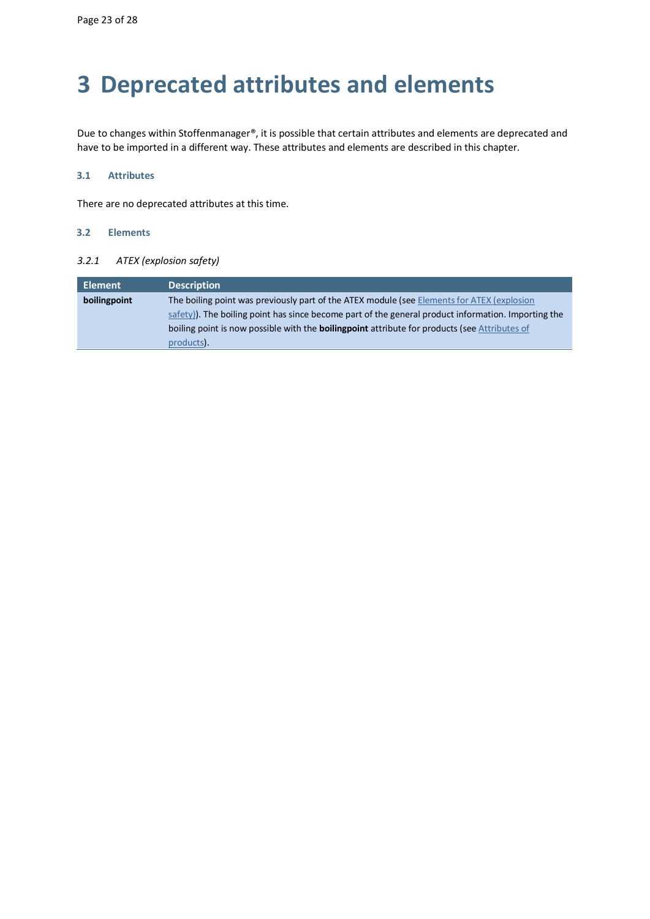# <span id="page-22-0"></span>**3 Deprecated attributes and elements**

Due to changes within Stoffenmanager®, it is possible that certain attributes and elements are deprecated and have to be imported in a different way. These attributes and elements are described in this chapter.

## <span id="page-22-1"></span>**3.1 Attributes**

<span id="page-22-2"></span>There are no deprecated attributes at this time.

## **3.2 Elements**

## *3.2.1 ATEX (explosion safety)*

| Element      | <b>Description</b>                                                                                   |
|--------------|------------------------------------------------------------------------------------------------------|
| boilingpoint | The boiling point was previously part of the ATEX module (see Elements for ATEX (explosion           |
|              | safety). The boiling point has since become part of the general product information. Importing the   |
|              | boiling point is now possible with the <b>boilingpoint</b> attribute for products (see Attributes of |
|              | products).                                                                                           |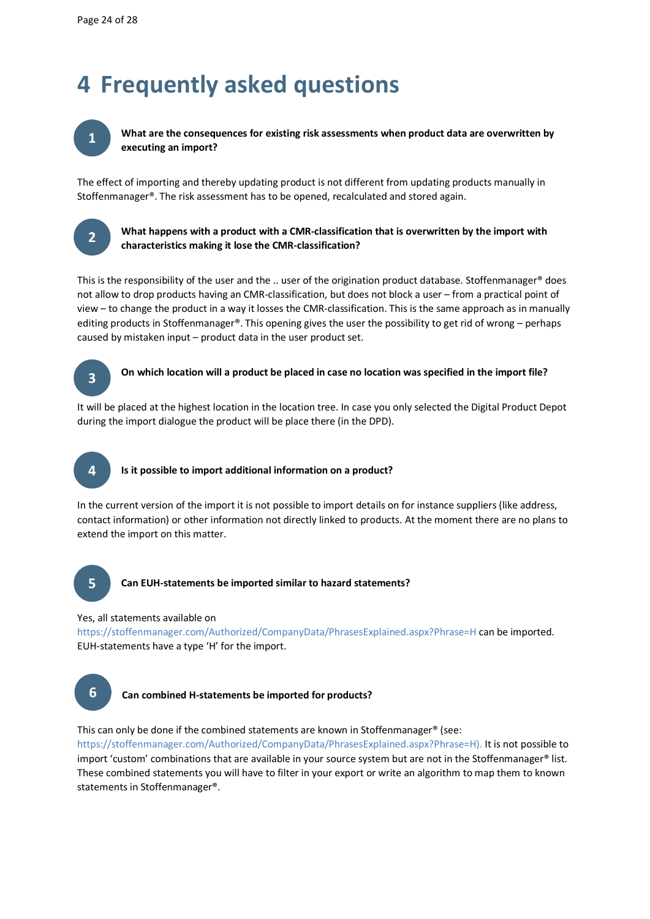# <span id="page-23-0"></span>**4 Frequently asked questions**



**What are the consequences for existing risk assessments when product data are overwritten by executing an import?**

The effect of importing and thereby updating product is not different from updating products manually in Stoffenmanager®. The risk assessment has to be opened, recalculated and stored again.



## **What happens with a product with a CMR-classification that is overwritten by the import with characteristics making it lose the CMR-classification?**

This is the responsibility of the user and the .. user of the origination product database. Stoffenmanager® does not allow to drop products having an CMR-classification, but does not block a user – from a practical point of view – to change the product in a way it losses the CMR-classification. This is the same approach as in manually editing products in Stoffenmanager®. This opening gives the user the possibility to get rid of wrong – perhaps caused by mistaken input – product data in the user product set.



## **On which location will a product be placed in case no location was specified in the import file?**

It will be placed at the highest location in the location tree. In case you only selected the Digital Product Depot during the import dialogue the product will be place there (in the DPD).



## **Is it possible to import additional information on a product?**

In the current version of the import it is not possible to import details on for instance suppliers (like address, contact information) or other information not directly linked to products. At the moment there are no plans to extend the import on this matter.



## **Can EUH-statements be imported similar to hazard statements?**

### Yes, all statements available on

[https://stoffenmanager.com/Authorized/CompanyData/PhrasesExplained.aspx?Phrase=H](https://www.stoffenmanager.nl/Authorized/CompanyData/PhrasesExplained.aspx?Phrase=H) can be imported. EUH-statements have a type 'H' for the import.



## **Can combined H-statements be imported for products?**

This can only be done if the combined statements are known in Stoffenmanager® (see:

[https://stoffenmanager.com/Authorized/CompanyData/PhrasesExplained.aspx?Phrase=H\)](https://www.stoffenmanager.nl/Authorized/CompanyData/PhrasesExplained.aspx?Phrase=H). It is not possible to import 'custom' combinations that are available in your source system but are not in the Stoffenmanager® list. These combined statements you will have to filter in your export or write an algorithm to map them to known statements in Stoffenmanager®.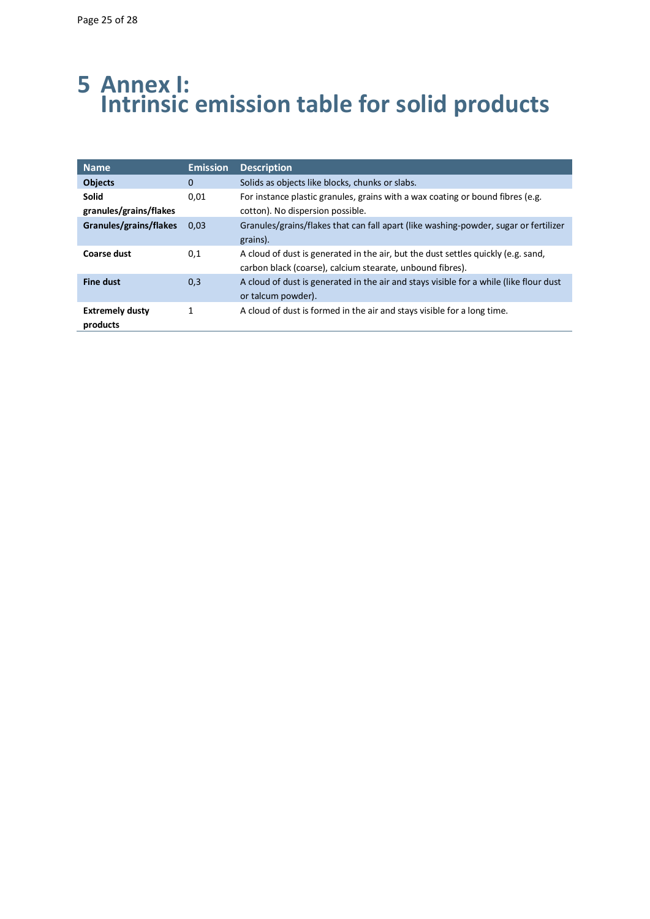## <span id="page-24-0"></span>**5 Annex I: Intrinsic emission table for solid products**

| <b>Name</b>                            | <b>Emission</b> | <b>Description</b>                                                                                                                             |
|----------------------------------------|-----------------|------------------------------------------------------------------------------------------------------------------------------------------------|
| <b>Objects</b>                         | 0               | Solids as objects like blocks, chunks or slabs.                                                                                                |
| <b>Solid</b><br>granules/grains/flakes | 0,01            | For instance plastic granules, grains with a wax coating or bound fibres (e.g.<br>cotton). No dispersion possible.                             |
| Granules/grains/flakes                 | 0.03            | Granules/grains/flakes that can fall apart (like washing-powder, sugar or fertilizer<br>grains).                                               |
| <b>Coarse dust</b>                     | 0,1             | A cloud of dust is generated in the air, but the dust settles quickly (e.g. sand,<br>carbon black (coarse), calcium stearate, unbound fibres). |
| <b>Fine dust</b>                       | 0,3             | A cloud of dust is generated in the air and stays visible for a while (like flour dust<br>or talcum powder).                                   |
| <b>Extremely dusty</b><br>products     | 1               | A cloud of dust is formed in the air and stays visible for a long time.                                                                        |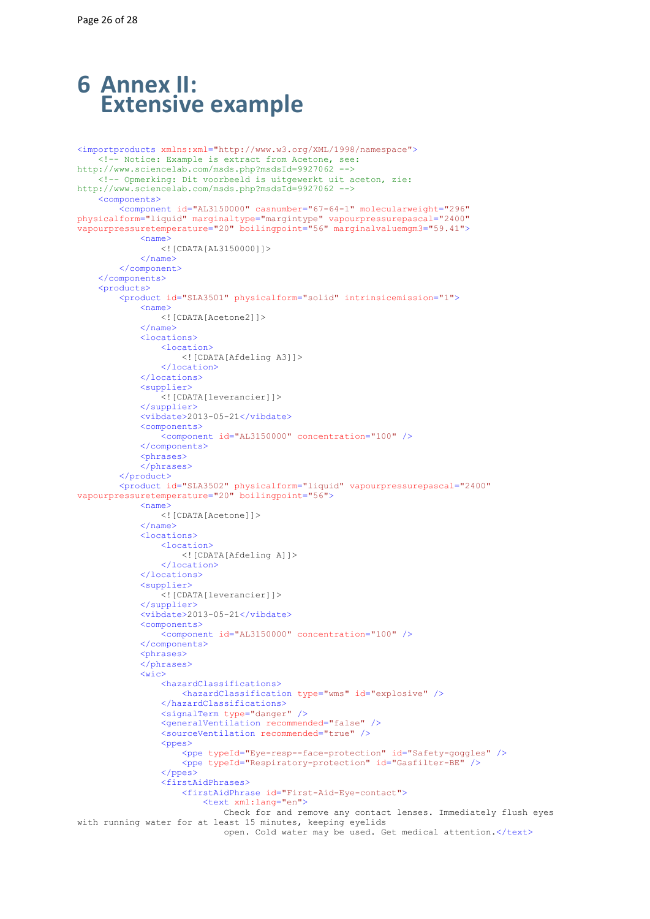## <span id="page-25-0"></span>**6 Annex II: Extensive example**

```
<importproducts xmlns:xml="http://www.w3.org/XML/1998/namespace">
     <!-- Notice: Example is extract from Acetone, see: 
http://www.sciencelab.com/msds.php?msdsId=9927062 -->
     <!-- Opmerking: Dit voorbeeld is uitgewerkt uit aceton, zie: 
http://www.sciencelab.com/msds.php?msdsId=9927062 -->
     <components>
         <component id="AL3150000" casnumber="67-64-1" molecularweight="296"
physicalform="liquid" marginaltype="margintype" vapourpressurepascal="2400"
vapourpressuretemperature="20" boilingpoint="56" marginalvaluemgm3="59.41">
             <name>
                 <![CDATA[AL3150000]]>
             </name>
         </component>
     </components>
    <sub>products</sub></sub>
         <product id="SLA3501" physicalform="solid" intrinsicemission="1">
             <name> <![CDATA[Acetone2]]>
            \langle/name\rangle <locations>
                  <location>
                      <![CDATA[Afdeling A3]]>
                  </location>
              </locations>
              <supplier>
                  <![CDATA[leverancier]]>
              </supplier>
              <vibdate>2013-05-21</vibdate>
              <components>
                  <component id="AL3150000" concentration="100" />
              </components>
              <phrases>
         </phrases>
 </product>
 <product id="SLA3502" physicalform="liquid" vapourpressurepascal="2400"
vapourpressuretemperature="20" boilingpoint="56">
             <name>
                 <![CDATA[Acetone]]>
            \langle/name>
              <locations>
                  <location>
                      <![CDATA[Afdeling A]]>
                  </location>
              </locations>
              <supplier>
                  <![CDATA[leverancier]]>
              </supplier>
             \langlevibdate>2013-05-21</vibdate>
              <components>
                  <component id="AL3150000" concentration="100" />
              </components>
             <phrases>
              </phrases>
              <wic>
                  <hazardClassifications>
                      <hazardClassification type="wms" id="explosive" />
                  </hazardClassifications>
                  <signalTerm type="danger" />
                  <generalVentilation recommended="false" />
                  <sourceVentilation recommended="true" />
                 <ppes>
                      <ppe typeId="Eye-resp--face-protection" id="Safety-goggles" />
                      <ppe typeId="Respiratory-protection" id="Gasfilter-BE" />
                 \langle/ppes\rangle <firstAidPhrases>
                      <firstAidPhrase id="First-Aid-Eye-contact">
                          <text xml:lang="en">
                              Check for and remove any contact lenses. Immediately flush eyes 
with running water for at least 15 minutes, keeping eyelids
                              open. Cold water may be used. Get medical attention.</text>
```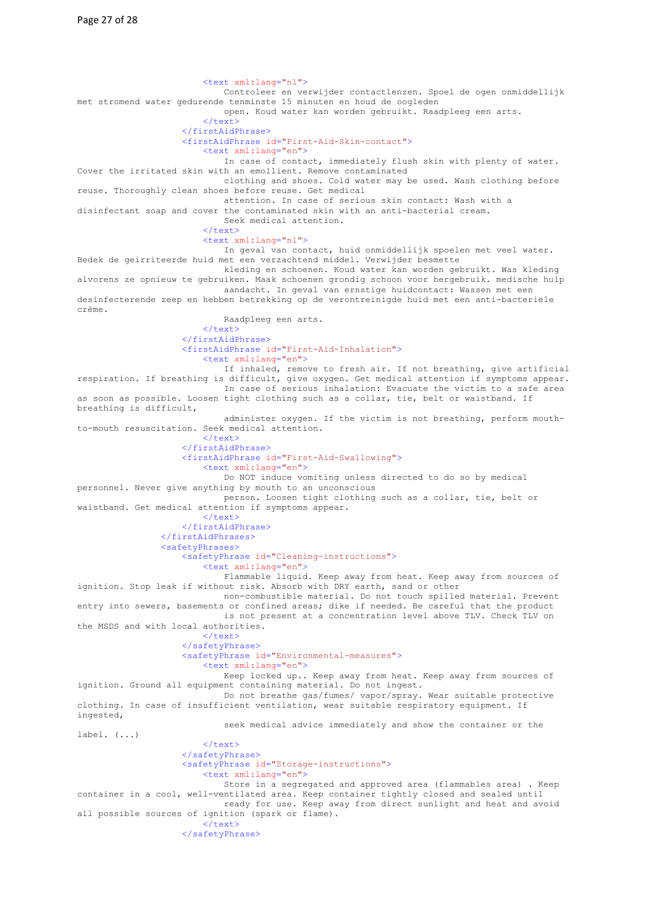<text xml:lang="nl"> Controleer en verwijder contactlenzen. Spoel de ogen onmiddellijk met stromend water gedurende tenminste 15 minuten en houd de oogleden open. Koud water kan worden gebruikt. Raadpleeg een arts.  $\langle$ /text> </firstAidPhrase> <firstAidPhrase id="First-Aid-Skin-contact"> <text xml:lang="en"> In case of contact, immediately flush skin with plenty of water. Cover the irritated skin with an emollient. Remove contaminated clothing and shoes. Cold water may be used. Wash clothing before reuse. Thoroughly clean shoes before reuse. Get medical attention. In case of serious skin contact: Wash with a disinfectant soap and cover the contaminated skin with an anti-bacterial cream. Seek medical attention. </text> <text xml:lang="nl"> In geval van contact, huid onmiddellijk spoelen met veel water. Bedek de geirriteerde huid met een verzachtend middel. Verwijder besmette kleding en schoenen. Koud water kan worden gebruikt. Was kleding alvorens ze opnieuw te gebruiken. Maak schoenen grondig schoon voor hergebruik. medische hulp aandacht. In geval van ernstige huidcontact: Wassen met een desinfecterende zeep en hebben betrekking op de verontreinigde huid met een anti-bacteriële crème. Raadpleeg een arts.  $\langle$ /text> </firstAidPhrase> <firstAidPhrase id="First-Aid-Inhalation"> <text xml:lang="en"> If inhaled, remove to fresh air. If not breathing, give artificial respiration. If breathing is difficult, give oxygen. Get medical attention if symptoms appear. In case of serious inhalation: Evacuate the victim to a safe area as soon as possible. Loosen tight clothing such as a collar, tie, belt or waistband. If breathing is difficult, administer oxygen. If the victim is not breathing, perform mouthto-mouth resuscitation. Seek medical attention. </text> </firstAidPhrase> <firstAidPhrase id="First-Aid-Swallowing"> <text xml:lang="en"> Do NOT induce vomiting unless directed to do so by medical personnel. Never give anything by mouth to an unconscious person. Loosen tight clothing such as a collar, tie, belt or waistband. Get medical attention if symptoms appear. </text> </firstAidPhrase> </firstAidPhrases> <safetyPhrases> <safetyPhrase id="Cleaning-instructions"> <text xml:lang="en"> Flammable liquid. Keep away from heat. Keep away from sources of ignition. Stop leak if without risk. Absorb with DRY earth, sand or other non-combustible material. Do not touch spilled material. Prevent entry into sewers, basements or confined areas; dike if needed. Be careful that the product is not present at a concentration level above TLV. Check TLV on the MSDS and with local authorities.  $\langle$ /text> </safetyPhrase> <safetyPhrase id="Environmental-measures"> <text xml:lang="en"> Keep locked up.. Keep away from heat. Keep away from sources of ignition. Ground all equipment containing material. Do not ingest. Do not breathe gas/fumes/ vapor/spray. Wear suitable protective clothing. In case of insufficient ventilation, wear suitable respiratory equipment. If ingested, seek medical advice immediately and show the container or the label. (...)  $\langle$ /text> </safetyPhrase> <safetyPhrase id="Storage-instructions"> <text xml:lang="en"> Store in a segregated and approved area (flammables area) . Keep container in a cool, well-ventilated area. Keep container tightly closed and sealed until ready for use. Keep away from direct sunlight and heat and avoid all possible sources of ignition (spark or flame).  $\langle$ /text> </safetyPhrase>